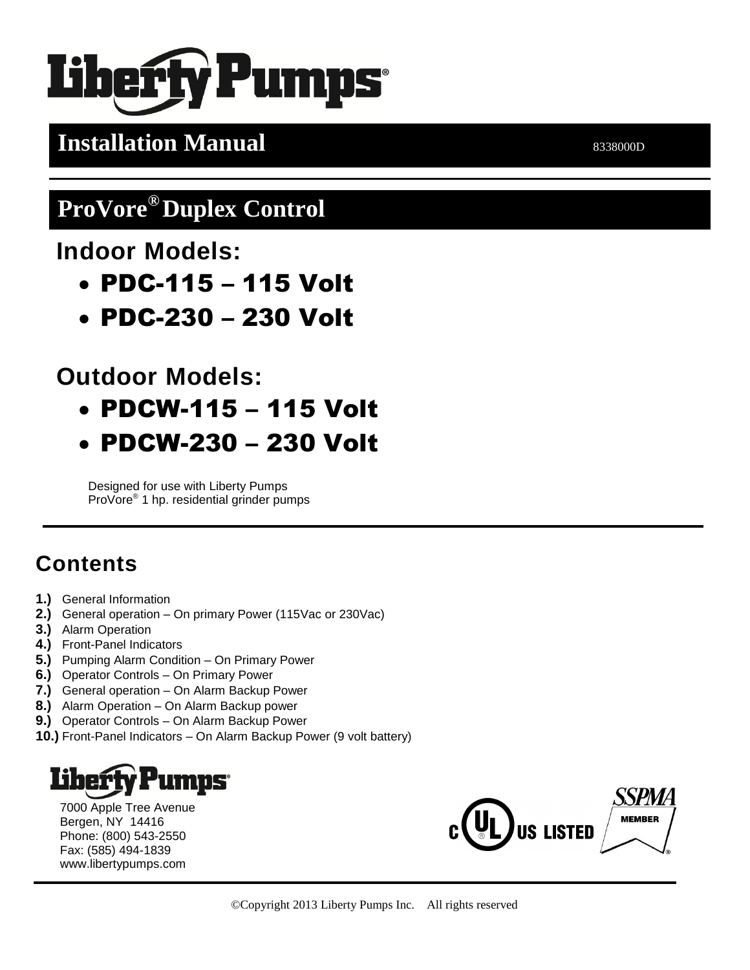# **Pumps**

## **Installation Manual** 8338000D

## **ProVore® Duplex Control**

**Indoor Models:**

- PDC-115 115 Volt
- PDC-230 230 Volt

**Outdoor Models:**

- PDCW-115 115 Volt
- PDCW-230 230 Volt

Designed for use with Liberty Pumps ProVore® 1 hp. residential grinder pumps

## **Contents**

- **1.)** General Information
- **2.)** General operation On primary Power (115Vac or 230Vac)
- **3.)** Alarm Operation
- **4.)** Front-Panel Indicators
- **5.)** Pumping Alarm Condition On Primary Power
- **6.)** Operator Controls On Primary Power
- **7.)** General operation On Alarm Backup Power
- **8.)** Alarm Operation On Alarm Backup power
- **9.)** Operator Controls On Alarm Backup Power
- **10.)** Front-Panel Indicators On Alarm Backup Power (9 volt battery)

## **LINDS®**

7000 Apple Tree Avenue Bergen, NY 14416 Phone: (800) 543-2550 Fax: (585) 494-1839 www.libertypumps.com

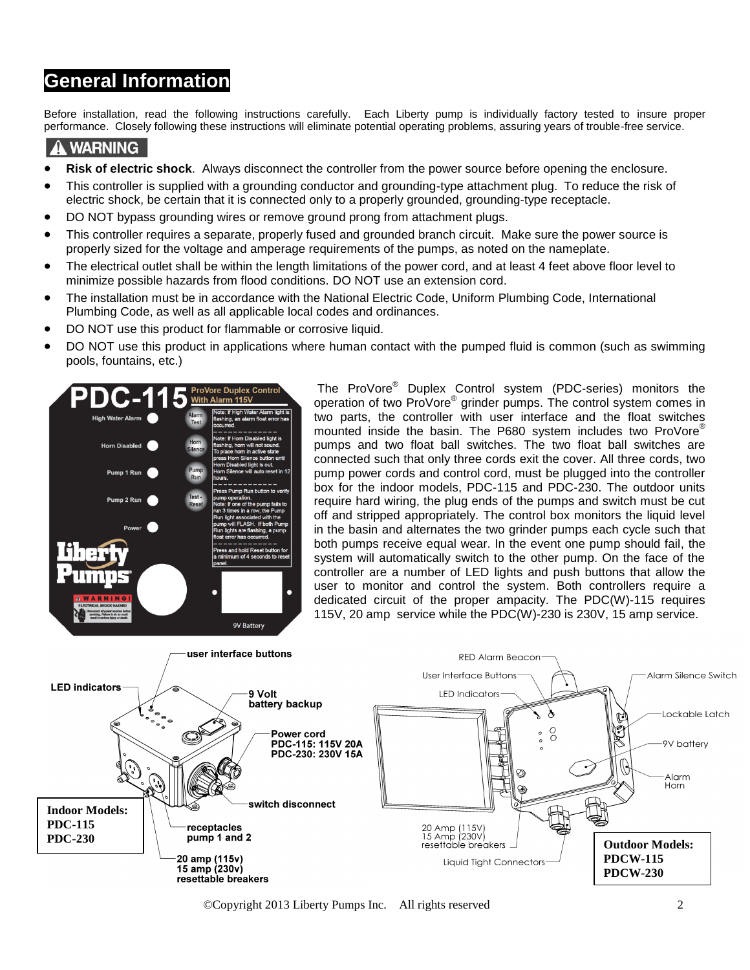#### **General Information**

Before installation, read the following instructions carefully. Each Liberty pump is individually factory tested to insure proper performance. Closely following these instructions will eliminate potential operating problems, assuring years of trouble-free service.

#### **A WARNING**

- **Risk of electric shock**. Always disconnect the controller from the power source before opening the enclosure.
- This controller is supplied with a grounding conductor and grounding-type attachment plug. To reduce the risk of electric shock, be certain that it is connected only to a properly grounded, grounding-type receptacle.
- DO NOT bypass grounding wires or remove ground prong from attachment plugs.
- This controller requires a separate, properly fused and grounded branch circuit. Make sure the power source is properly sized for the voltage and amperage requirements of the pumps, as noted on the nameplate.
- The electrical outlet shall be within the length limitations of the power cord, and at least 4 feet above floor level to minimize possible hazards from flood conditions. DO NOT use an extension cord.
- The installation must be in accordance with the National Electric Code, Uniform Plumbing Code, International Plumbing Code, as well as all applicable local codes and ordinances.
- DO NOT use this product for flammable or corrosive liquid.
- DO NOT use this product in applications where human contact with the pumped fluid is common (such as swimming pools, fountains, etc.)



The ProVore® Duplex Control system (PDC-series) monitors the operation of two ProVore<sup>®</sup> grinder pumps. The control system comes in two parts, the controller with user interface and the float switches mounted inside the basin. The P680 system includes two ProVore® pumps and two float ball switches. The two float ball switches are connected such that only three cords exit the cover. All three cords, two pump power cords and control cord, must be plugged into the controller box for the indoor models, PDC-115 and PDC-230. The outdoor units require hard wiring, the plug ends of the pumps and switch must be cut off and stripped appropriately. The control box monitors the liquid level in the basin and alternates the two grinder pumps each cycle such that both pumps receive equal wear. In the event one pump should fail, the system will automatically switch to the other pump. On the face of the controller are a number of LED lights and push buttons that allow the user to monitor and control the system. Both controllers require a dedicated circuit of the proper ampacity. The PDC(W)-115 requires 115V, 20 amp service while the PDC(W)-230 is 230V, 15 amp service.



©Copyright 2013 Liberty Pumps Inc. All rights reserved 2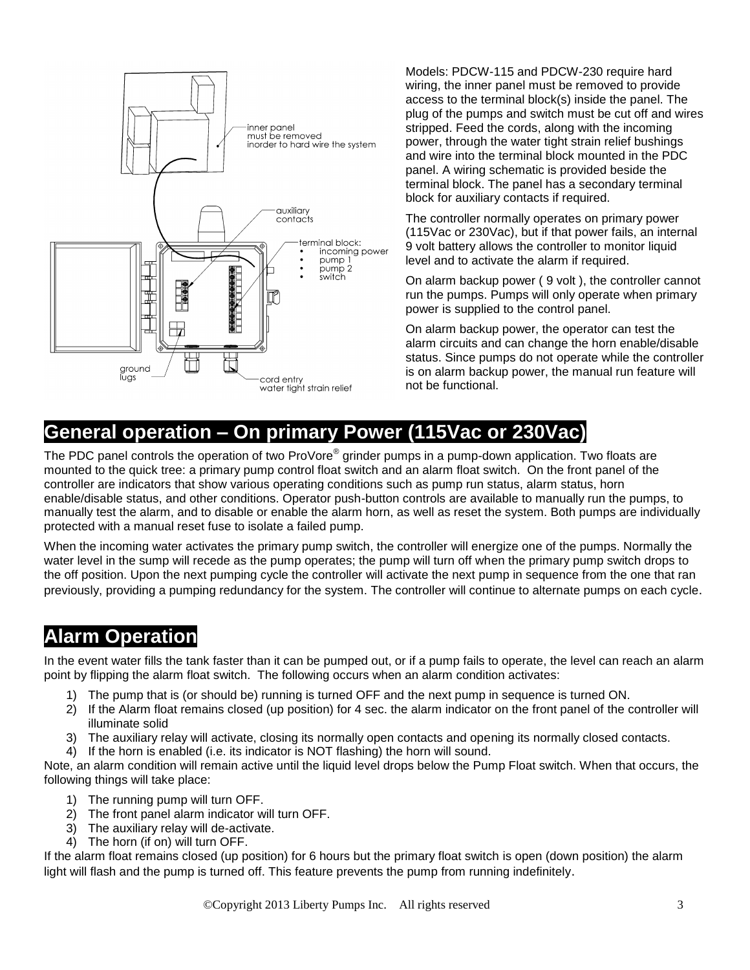

Models: PDCW-115 and PDCW-230 require hard wiring, the inner panel must be removed to provide access to the terminal block(s) inside the panel. The plug of the pumps and switch must be cut off and wires stripped. Feed the cords, along with the incoming power, through the water tight strain relief bushings and wire into the terminal block mounted in the PDC panel. A wiring schematic is provided beside the terminal block. The panel has a secondary terminal block for auxiliary contacts if required.

The controller normally operates on primary power (115Vac or 230Vac), but if that power fails, an internal 9 volt battery allows the controller to monitor liquid level and to activate the alarm if required.

On alarm backup power ( 9 volt ), the controller cannot run the pumps. Pumps will only operate when primary power is supplied to the control panel.

On alarm backup power, the operator can test the alarm circuits and can change the horn enable/disable status. Since pumps do not operate while the controller is on alarm backup power, the manual run feature will not be functional.

#### **General operation – On primary Power (115Vac or 230Vac)**

The PDC panel controls the operation of two ProVore® grinder pumps in a pump-down application. Two floats are mounted to the quick tree: a primary pump control float switch and an alarm float switch. On the front panel of the controller are indicators that show various operating conditions such as pump run status, alarm status, horn enable/disable status, and other conditions. Operator push-button controls are available to manually run the pumps, to manually test the alarm, and to disable or enable the alarm horn, as well as reset the system. Both pumps are individually protected with a manual reset fuse to isolate a failed pump.

When the incoming water activates the primary pump switch, the controller will energize one of the pumps. Normally the water level in the sump will recede as the pump operates; the pump will turn off when the primary pump switch drops to the off position. Upon the next pumping cycle the controller will activate the next pump in sequence from the one that ran previously, providing a pumping redundancy for the system. The controller will continue to alternate pumps on each cycle.

#### **Alarm Operation**

In the event water fills the tank faster than it can be pumped out, or if a pump fails to operate, the level can reach an alarm point by flipping the alarm float switch. The following occurs when an alarm condition activates:

- 1) The pump that is (or should be) running is turned OFF and the next pump in sequence is turned ON.
- 2) If the Alarm float remains closed (up position) for 4 sec. the alarm indicator on the front panel of the controller will illuminate solid
- 3) The auxiliary relay will activate, closing its normally open contacts and opening its normally closed contacts.
- 4) If the horn is enabled (i.e. its indicator is NOT flashing) the horn will sound.

Note, an alarm condition will remain active until the liquid level drops below the Pump Float switch. When that occurs, the following things will take place:

- 1) The running pump will turn OFF.
- 2) The front panel alarm indicator will turn OFF.
- 3) The auxiliary relay will de-activate.
- 4) The horn (if on) will turn OFF.

If the alarm float remains closed (up position) for 6 hours but the primary float switch is open (down position) the alarm light will flash and the pump is turned off. This feature prevents the pump from running indefinitely.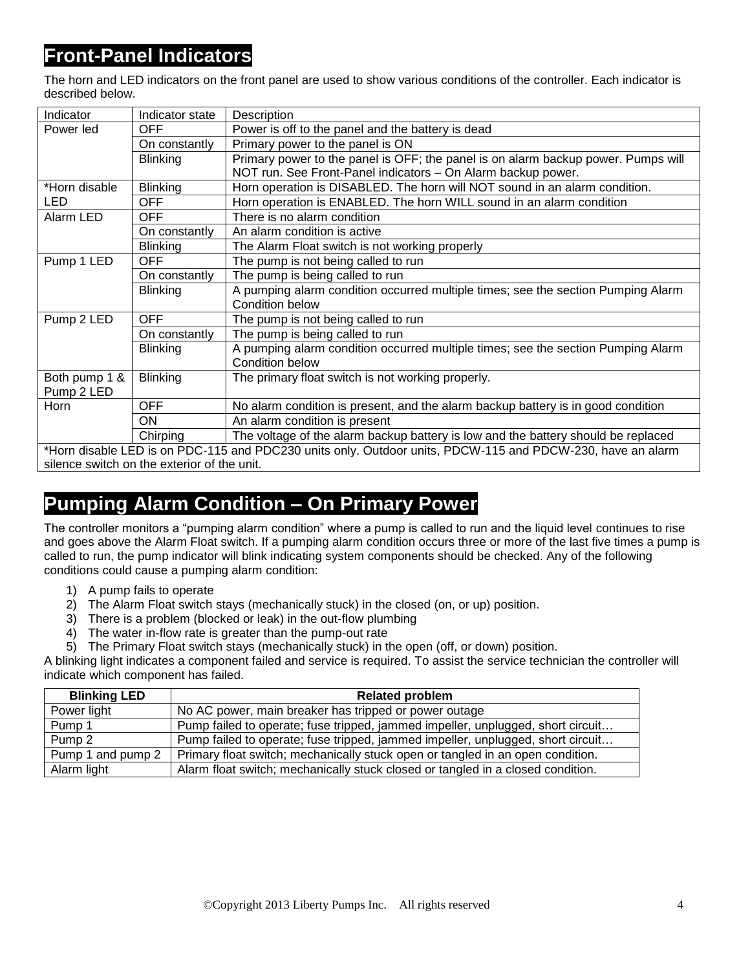#### **Front-Panel Indicators**

The horn and LED indicators on the front panel are used to show various conditions of the controller. Each indicator is described below.

| Indicator     | Indicator state                                                                                            | Description                                                                                         |  |  |
|---------------|------------------------------------------------------------------------------------------------------------|-----------------------------------------------------------------------------------------------------|--|--|
| Power led     | OFF.                                                                                                       | Power is off to the panel and the battery is dead                                                   |  |  |
|               | On constantly                                                                                              | Primary power to the panel is ON                                                                    |  |  |
|               | <b>Blinking</b>                                                                                            | Primary power to the panel is OFF; the panel is on alarm backup power. Pumps will                   |  |  |
|               |                                                                                                            | NOT run. See Front-Panel indicators - On Alarm backup power.                                        |  |  |
| *Horn disable | <b>Blinking</b>                                                                                            | Horn operation is DISABLED. The horn will NOT sound in an alarm condition.                          |  |  |
| <b>LED</b>    | <b>OFF</b>                                                                                                 | Horn operation is ENABLED. The horn WILL sound in an alarm condition                                |  |  |
| Alarm LED     | OFF                                                                                                        | There is no alarm condition                                                                         |  |  |
|               | On constantly                                                                                              | An alarm condition is active                                                                        |  |  |
|               | <b>Blinking</b>                                                                                            | The Alarm Float switch is not working properly                                                      |  |  |
| Pump 1 LED    | <b>OFF</b>                                                                                                 | The pump is not being called to run                                                                 |  |  |
|               | On constantly                                                                                              | The pump is being called to run                                                                     |  |  |
|               | <b>Blinking</b>                                                                                            | A pumping alarm condition occurred multiple times; see the section Pumping Alarm                    |  |  |
|               |                                                                                                            | Condition below                                                                                     |  |  |
| Pump 2 LED    | <b>OFF</b>                                                                                                 | The pump is not being called to run                                                                 |  |  |
|               | On constantly                                                                                              | The pump is being called to run                                                                     |  |  |
|               | <b>Blinking</b>                                                                                            | A pumping alarm condition occurred multiple times; see the section Pumping Alarm<br>Condition below |  |  |
| Both pump 1 & | <b>Blinking</b>                                                                                            | The primary float switch is not working properly.                                                   |  |  |
| Pump 2 LED    |                                                                                                            |                                                                                                     |  |  |
| Horn          | <b>OFF</b>                                                                                                 | No alarm condition is present, and the alarm backup battery is in good condition                    |  |  |
|               | ON.                                                                                                        | An alarm condition is present                                                                       |  |  |
|               | Chirping                                                                                                   | The voltage of the alarm backup battery is low and the battery should be replaced                   |  |  |
|               | *Horn disable LED is on PDC-115 and PDC230 units only. Outdoor units, PDCW-115 and PDCW-230, have an alarm |                                                                                                     |  |  |
|               | silence switch on the exterior of the unit.                                                                |                                                                                                     |  |  |

#### **Pumping Alarm Condition – On Primary Power**

The controller monitors a "pumping alarm condition" where a pump is called to run and the liquid level continues to rise and goes above the Alarm Float switch. If a pumping alarm condition occurs three or more of the last five times a pump is called to run, the pump indicator will blink indicating system components should be checked. Any of the following conditions could cause a pumping alarm condition:

- 1) A pump fails to operate
- 2) The Alarm Float switch stays (mechanically stuck) in the closed (on, or up) position.
- 3) There is a problem (blocked or leak) in the out-flow plumbing
- 4) The water in-flow rate is greater than the pump-out rate
- 5) The Primary Float switch stays (mechanically stuck) in the open (off, or down) position.

A blinking light indicates a component failed and service is required. To assist the service technician the controller will indicate which component has failed.

| <b>Blinking LED</b> | <b>Related problem</b>                                                          |
|---------------------|---------------------------------------------------------------------------------|
| Power light         | No AC power, main breaker has tripped or power outage                           |
| Pump 1              | Pump failed to operate; fuse tripped, jammed impeller, unplugged, short circuit |
| Pump <sub>2</sub>   | Pump failed to operate; fuse tripped, jammed impeller, unplugged, short circuit |
| Pump 1 and pump 2   | Primary float switch; mechanically stuck open or tangled in an open condition.  |
| Alarm light         | Alarm float switch; mechanically stuck closed or tangled in a closed condition. |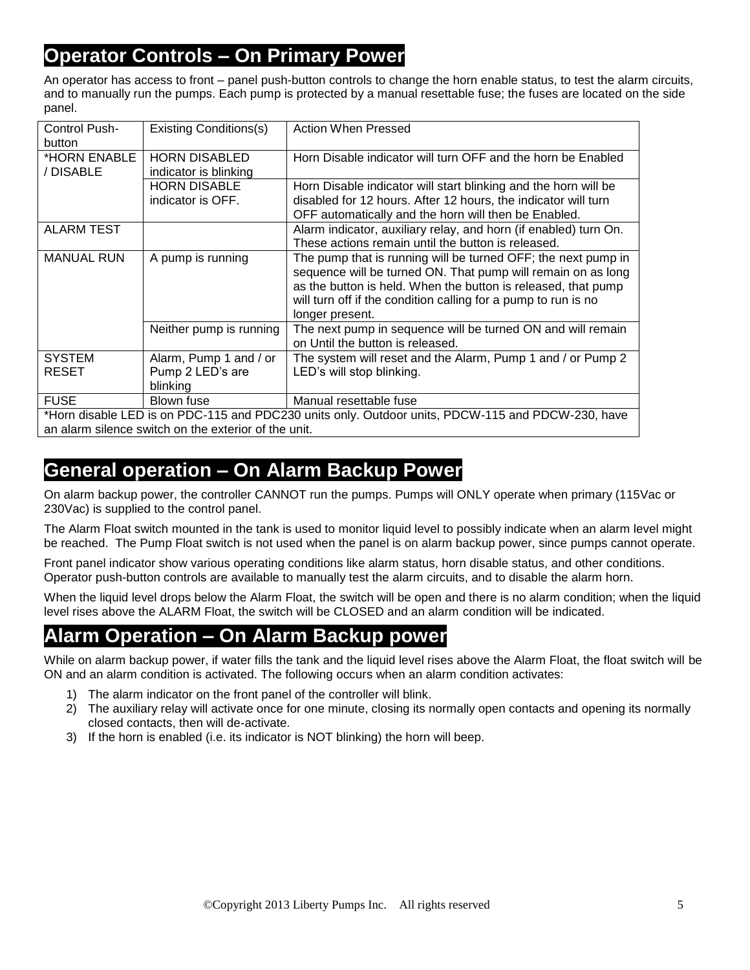#### **Operator Controls – On Primary Power**

An operator has access to front – panel push-button controls to change the horn enable status, to test the alarm circuits, and to manually run the pumps. Each pump is protected by a manual resettable fuse; the fuses are located on the side panel.

| Control Push-                                                                                     | <b>Existing Conditions(s)</b>                        | <b>Action When Pressed</b>                                       |  |
|---------------------------------------------------------------------------------------------------|------------------------------------------------------|------------------------------------------------------------------|--|
| button                                                                                            |                                                      |                                                                  |  |
| *HORN ENABLE                                                                                      | <b>HORN DISABLED</b>                                 | Horn Disable indicator will turn OFF and the horn be Enabled     |  |
| / DISABLE                                                                                         | indicator is blinking                                |                                                                  |  |
|                                                                                                   | <b>HORN DISABLE</b>                                  | Horn Disable indicator will start blinking and the horn will be  |  |
|                                                                                                   | indicator is OFF.                                    | disabled for 12 hours. After 12 hours, the indicator will turn   |  |
|                                                                                                   |                                                      | OFF automatically and the horn will then be Enabled.             |  |
| <b>ALARM TEST</b>                                                                                 |                                                      | Alarm indicator, auxiliary relay, and horn (if enabled) turn On. |  |
|                                                                                                   |                                                      | These actions remain until the button is released.               |  |
| <b>MANUAL RUN</b>                                                                                 | A pump is running                                    | The pump that is running will be turned OFF; the next pump in    |  |
|                                                                                                   |                                                      | sequence will be turned ON. That pump will remain on as long     |  |
|                                                                                                   |                                                      | as the button is held. When the button is released, that pump    |  |
|                                                                                                   |                                                      | will turn off if the condition calling for a pump to run is no   |  |
|                                                                                                   |                                                      | longer present.                                                  |  |
|                                                                                                   | Neither pump is running                              | The next pump in sequence will be turned ON and will remain      |  |
|                                                                                                   |                                                      | on Until the button is released.                                 |  |
| <b>SYSTEM</b>                                                                                     | Alarm, Pump 1 and / or                               | The system will reset and the Alarm, Pump 1 and / or Pump 2      |  |
| <b>RESET</b>                                                                                      | Pump 2 LED's are                                     | LED's will stop blinking.                                        |  |
|                                                                                                   | blinking                                             |                                                                  |  |
| <b>FUSE</b>                                                                                       | Blown fuse                                           | Manual resettable fuse                                           |  |
| *Horn disable LED is on PDC-115 and PDC230 units only. Outdoor units, PDCW-115 and PDCW-230, have |                                                      |                                                                  |  |
|                                                                                                   | an alarm silence switch on the exterior of the unit. |                                                                  |  |

#### **General operation – On Alarm Backup Power**

On alarm backup power, the controller CANNOT run the pumps. Pumps will ONLY operate when primary (115Vac or 230Vac) is supplied to the control panel.

The Alarm Float switch mounted in the tank is used to monitor liquid level to possibly indicate when an alarm level might be reached. The Pump Float switch is not used when the panel is on alarm backup power, since pumps cannot operate.

Front panel indicator show various operating conditions like alarm status, horn disable status, and other conditions. Operator push-button controls are available to manually test the alarm circuits, and to disable the alarm horn.

When the liquid level drops below the Alarm Float, the switch will be open and there is no alarm condition; when the liquid level rises above the ALARM Float, the switch will be CLOSED and an alarm condition will be indicated.

#### **Alarm Operation – On Alarm Backup power**

While on alarm backup power, if water fills the tank and the liquid level rises above the Alarm Float, the float switch will be ON and an alarm condition is activated. The following occurs when an alarm condition activates:

- 1) The alarm indicator on the front panel of the controller will blink.
- 2) The auxiliary relay will activate once for one minute, closing its normally open contacts and opening its normally closed contacts, then will de-activate.
- 3) If the horn is enabled (i.e. its indicator is NOT blinking) the horn will beep.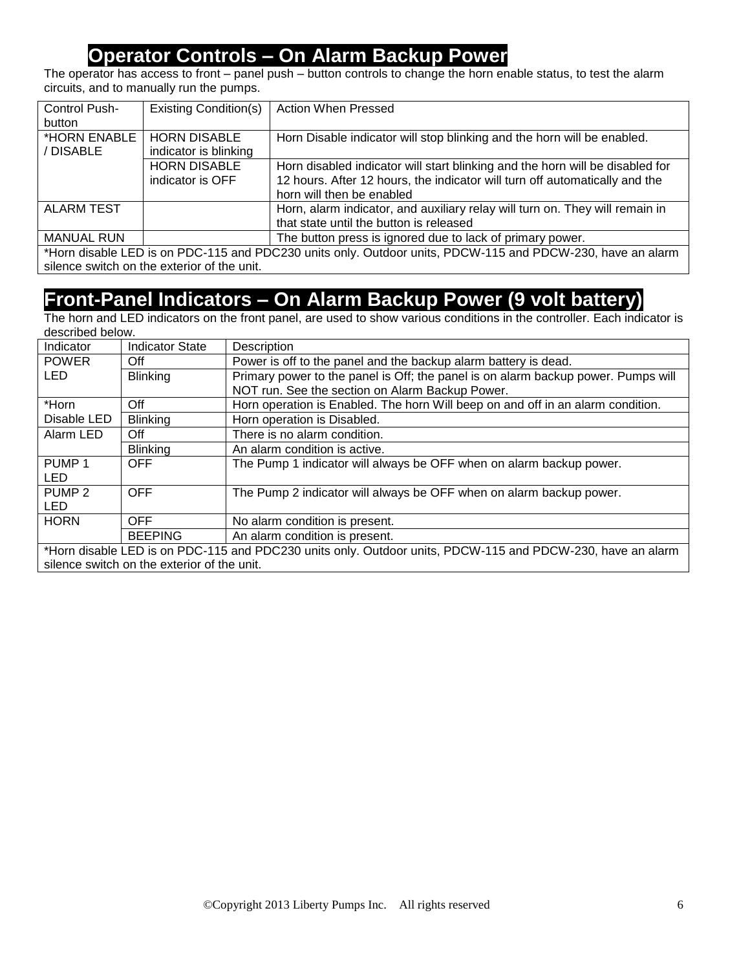#### **Operator Controls – On Alarm Backup Power**

The operator has access to front – panel push – button controls to change the horn enable status, to test the alarm circuits, and to manually run the pumps.

| Control Push-<br>button   | <b>Existing Condition(s)</b>                 | <b>Action When Pressed</b>                                                                                                                                                                |
|---------------------------|----------------------------------------------|-------------------------------------------------------------------------------------------------------------------------------------------------------------------------------------------|
| *HORN ENABLE<br>/ DISABLE | <b>HORN DISABLE</b><br>indicator is blinking | Horn Disable indicator will stop blinking and the horn will be enabled.                                                                                                                   |
|                           | <b>HORN DISABLE</b><br>indicator is OFF      | Horn disabled indicator will start blinking and the horn will be disabled for<br>12 hours. After 12 hours, the indicator will turn off automatically and the<br>horn will then be enabled |
| ALARM TEST                |                                              | Horn, alarm indicator, and auxiliary relay will turn on. They will remain in<br>that state until the button is released                                                                   |
| <b>MANUAL RUN</b>         |                                              | The button press is ignored due to lack of primary power.<br>*Hang disable LED is an DDO 44F and DDO000 with subs Outdoor with DDOM 44F and DDOM 000 basis an alam                        |

\*Horn disable LED is on PDC-115 and PDC230 units only. Outdoor units, PDCW-115 and PDCW-230, have an alarm silence switch on the exterior of the unit.

#### **Front-Panel Indicators – On Alarm Backup Power (9 volt battery)**

The horn and LED indicators on the front panel, are used to show various conditions in the controller. Each indicator is described below.

| Indicator                                                                                                  | <b>Indicator State</b> | Description                                                                       |  |  |
|------------------------------------------------------------------------------------------------------------|------------------------|-----------------------------------------------------------------------------------|--|--|
| <b>POWER</b>                                                                                               | Off                    | Power is off to the panel and the backup alarm battery is dead.                   |  |  |
| <b>LED</b>                                                                                                 | <b>Blinking</b>        | Primary power to the panel is Off; the panel is on alarm backup power. Pumps will |  |  |
|                                                                                                            |                        | NOT run. See the section on Alarm Backup Power.                                   |  |  |
| *Horn                                                                                                      | Off                    | Horn operation is Enabled. The horn Will beep on and off in an alarm condition.   |  |  |
| Disable LED                                                                                                | <b>Blinking</b>        | Horn operation is Disabled.                                                       |  |  |
| Alarm LED                                                                                                  | Off                    | There is no alarm condition.                                                      |  |  |
|                                                                                                            | <b>Blinking</b>        | An alarm condition is active.                                                     |  |  |
| PUMP <sub>1</sub>                                                                                          | <b>OFF</b>             | The Pump 1 indicator will always be OFF when on alarm backup power.               |  |  |
| LED                                                                                                        |                        |                                                                                   |  |  |
| PUMP <sub>2</sub>                                                                                          | <b>OFF</b>             | The Pump 2 indicator will always be OFF when on alarm backup power.               |  |  |
| <b>LED</b>                                                                                                 |                        |                                                                                   |  |  |
| <b>HORN</b>                                                                                                | <b>OFF</b>             | No alarm condition is present.                                                    |  |  |
|                                                                                                            | <b>BEEPING</b>         | An alarm condition is present.                                                    |  |  |
| *Horn disable LED is on PDC-115 and PDC230 units only. Outdoor units, PDCW-115 and PDCW-230, have an alarm |                        |                                                                                   |  |  |

silence switch on the exterior of the unit.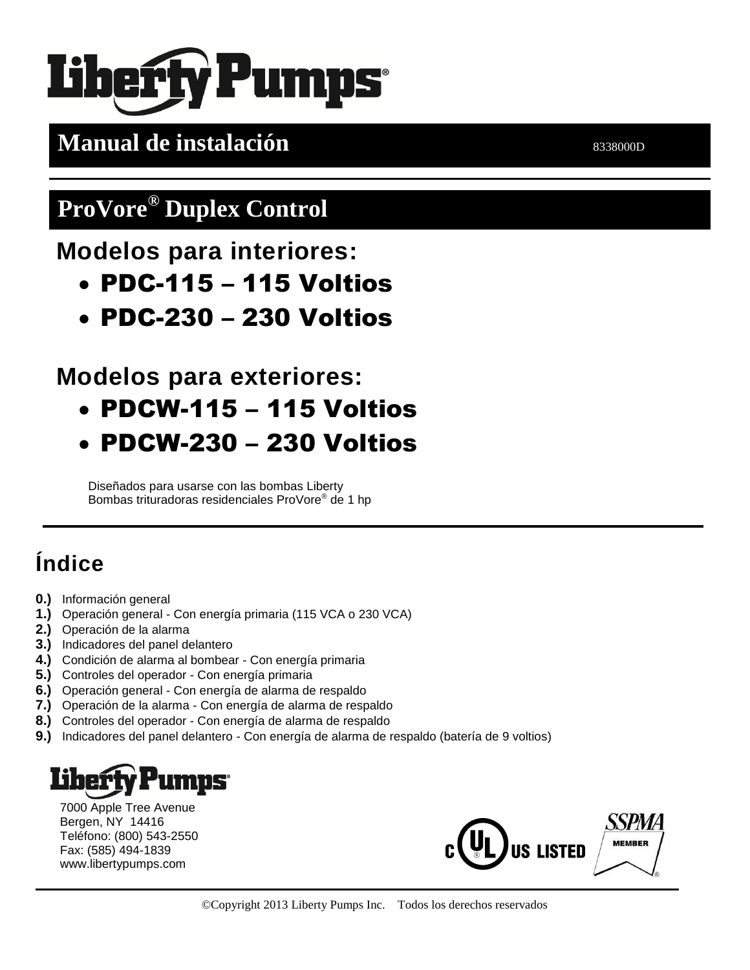# **Pumps**

**Manual de instalación bandaires de la propia de instalación** en el propia de la propia de la propia de la propia de la propia de la propia de la propia de la propia de la propia de la propia de la propia de la propia de

## **ProVore® Duplex Control**

**Modelos para interiores:**

- PDC-115 115 Voltios
- PDC-230 230 Voltios

### **Modelos para exteriores:**

- PDCW-115 115 Voltios
- PDCW-230 230 Voltios

Diseñados para usarse con las bombas Liberty Bombas trituradoras residenciales ProVore® de 1 hp

## **Índice**

- **0.)** Información general
- **1.)** Operación general Con energía primaria (115 VCA o 230 VCA)
- **2.)** Operación de la alarma
- **3.)** Indicadores del panel delantero
- **4.)** Condición de alarma al bombear Con energía primaria
- **5.)** Controles del operador Con energía primaria
- **6.)** Operación general Con energía de alarma de respaldo
- **7.)** Operación de la alarma Con energía de alarma de respaldo
- **8.)** Controles del operador Con energía de alarma de respaldo
- **9.)** Indicadores del panel delantero Con energía de alarma de respaldo (batería de 9 voltios)

## **IMDS**

7000 Apple Tree Avenue Bergen, NY 14416 Teléfono: (800) 543-2550 Fax: (585) 494-1839 www.libertypumps.com

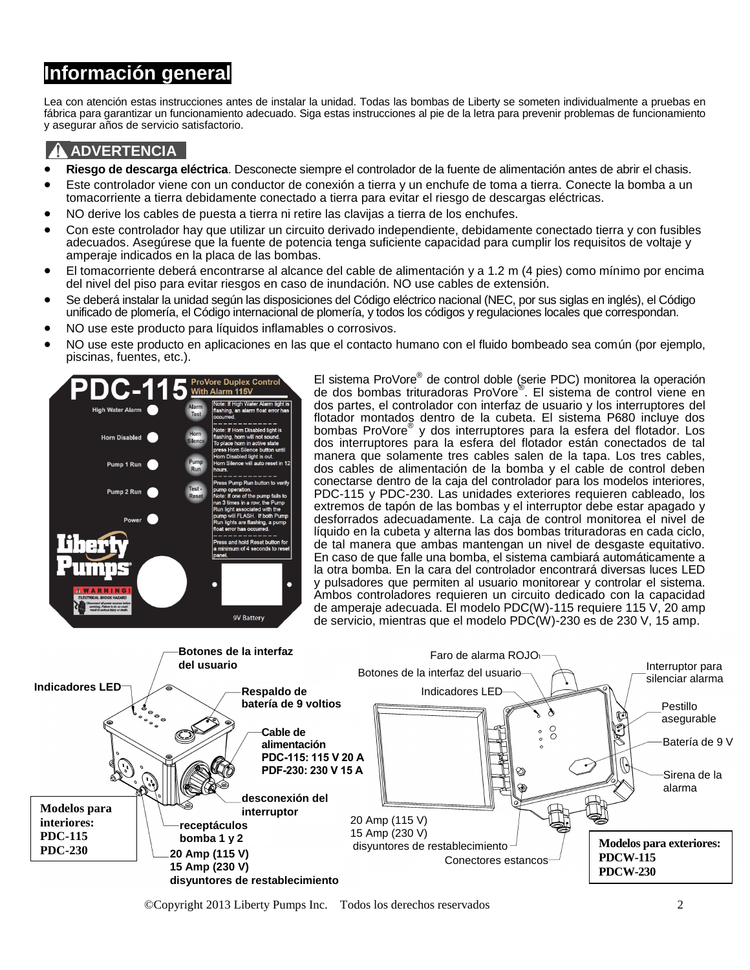#### **Información general**

Lea con atención estas instrucciones antes de instalar la unidad. Todas las bombas de Liberty se someten individualmente a pruebas en fábrica para garantizar un funcionamiento adecuado. Siga estas instrucciones al pie de la letra para prevenir problemas de funcionamiento y asegurar años de servicio satisfactorio.

#### **ADVERTENCIA**

- **Riesgo de descarga eléctrica**. Desconecte siempre el controlador de la fuente de alimentación antes de abrir el chasis.
- Este controlador viene con un conductor de conexión a tierra y un enchufe de toma a tierra. Conecte la bomba a un tomacorriente a tierra debidamente conectado a tierra para evitar el riesgo de descargas eléctricas.
- NO derive los cables de puesta a tierra ni retire las clavijas a tierra de los enchufes.
- Con este controlador hay que utilizar un circuito derivado independiente, debidamente conectado tierra y con fusibles adecuados. Asegúrese que la fuente de potencia tenga suficiente capacidad para cumplir los requisitos de voltaje y amperaje indicados en la placa de las bombas.
- El tomacorriente deberá encontrarse al alcance del cable de alimentación y a 1.2 m (4 pies) como mínimo por encima del nivel del piso para evitar riesgos en caso de inundación. NO use cables de extensión.
- Se deberá instalar la unidad según las disposiciones del Código eléctrico nacional (NEC, por sus siglas en inglés), el Código unificado de plomería, el Código internacional de plomería, y todos los códigos y regulaciones locales que correspondan.
- NO use este producto para líquidos inflamables o corrosivos.
- NO use este producto en aplicaciones en las que el contacto humano con el fluido bombeado sea común (por ejemplo, piscinas, fuentes, etc.).



El sistema ProVore® de control doble (serie PDC) monitorea la operación de dos bombas trituradoras ProVore® . El sistema de control viene en dos partes, el controlador con interfaz de usuario y los interruptores del flotador montados dentro de la cubeta. El sistema P680 incluye dos bombas ProVore® y dos interruptores para la esfera del flotador. Los dos interruptores para la esfera del flotador están conectados de tal manera que solamente tres cables salen de la tapa. Los tres cables, dos cables de alimentación de la bomba y el cable de control deben conectarse dentro de la caja del controlador para los modelos interiores, PDC-115 y PDC-230. Las unidades exteriores requieren cableado, los extremos de tapón de las bombas y el interruptor debe estar apagado y desforrados adecuadamente. La caja de control monitorea el nivel de líquido en la cubeta y alterna las dos bombas trituradoras en cada ciclo, de tal manera que ambas mantengan un nivel de desgaste equitativo. En caso de que falle una bomba, el sistema cambiará automáticamente a la otra bomba. En la cara del controlador encontrará diversas luces LED y pulsadores que permiten al usuario monitorear y controlar el sistema. Ambos controladores requieren un circuito dedicado con la capacidad de amperaje adecuada. El modelo PDC(W)-115 requiere 115 V, 20 amp de servicio, mientras que el modelo PDC(W)-230 es de 230 V, 15 amp.



©Copyright 2013 Liberty Pumps Inc. Todos los derechos reservados 2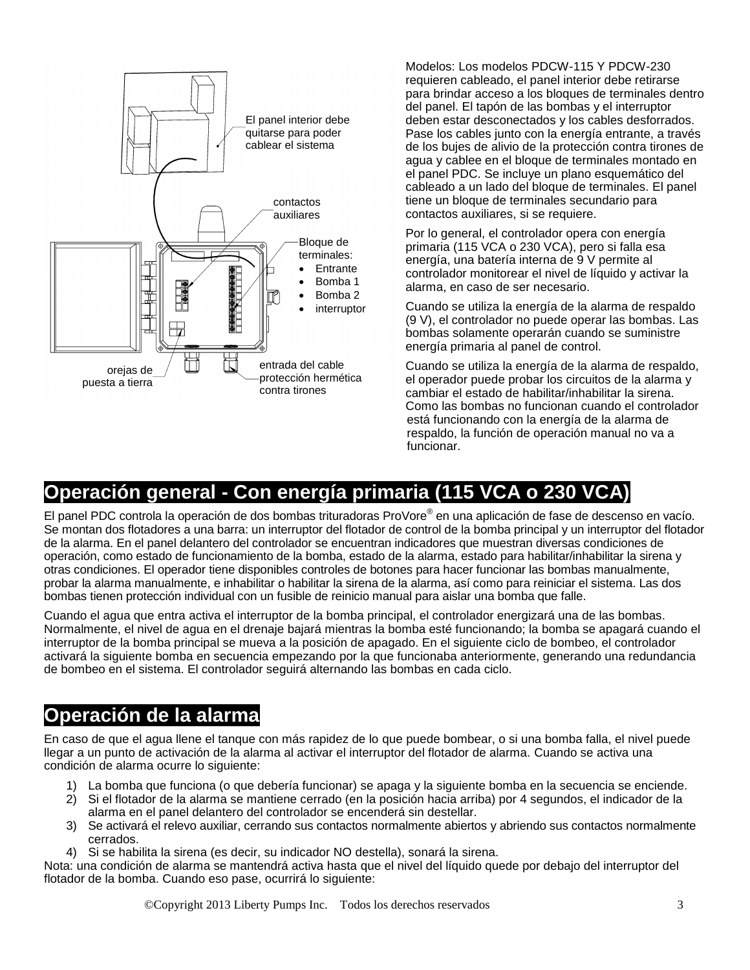

Modelos: Los modelos PDCW-115 Y PDCW-230 requieren cableado, el panel interior debe retirarse para brindar acceso a los bloques de terminales dentro del panel. El tapón de las bombas y el interruptor deben estar desconectados y los cables desforrados. Pase los cables junto con la energía entrante, a través de los bujes de alivio de la protección contra tirones de agua y cablee en el bloque de terminales montado en el panel PDC. Se incluye un plano esquemático del cableado a un lado del bloque de terminales. El panel tiene un bloque de terminales secundario para contactos auxiliares, si se requiere.

Por lo general, el controlador opera con energía primaria (115 VCA o 230 VCA), pero si falla esa energía, una batería interna de 9 V permite al controlador monitorear el nivel de líquido y activar la alarma, en caso de ser necesario.

Cuando se utiliza la energía de la alarma de respaldo (9 V), el controlador no puede operar las bombas. Las bombas solamente operarán cuando se suministre energía primaria al panel de control.

Cuando se utiliza la energía de la alarma de respaldo, el operador puede probar los circuitos de la alarma y cambiar el estado de habilitar/inhabilitar la sirena. Como las bombas no funcionan cuando el controlador está funcionando con la energía de la alarma de respaldo, la función de operación manual no va a funcionar.

#### **Operación general - Con energía primaria (115 VCA o 230 VCA)**

El panel PDC controla la operación de dos bombas trituradoras ProVore® en una aplicación de fase de descenso en vacío. Se montan dos flotadores a una barra: un interruptor del flotador de control de la bomba principal y un interruptor del flotador de la alarma. En el panel delantero del controlador se encuentran indicadores que muestran diversas condiciones de operación, como estado de funcionamiento de la bomba, estado de la alarma, estado para habilitar/inhabilitar la sirena y otras condiciones. El operador tiene disponibles controles de botones para hacer funcionar las bombas manualmente, probar la alarma manualmente, e inhabilitar o habilitar la sirena de la alarma, así como para reiniciar el sistema. Las dos bombas tienen protección individual con un fusible de reinicio manual para aislar una bomba que falle.

Cuando el agua que entra activa el interruptor de la bomba principal, el controlador energizará una de las bombas. Normalmente, el nivel de agua en el drenaje bajará mientras la bomba esté funcionando; la bomba se apagará cuando el interruptor de la bomba principal se mueva a la posición de apagado. En el siguiente ciclo de bombeo, el controlador activará la siguiente bomba en secuencia empezando por la que funcionaba anteriormente, generando una redundancia de bombeo en el sistema. El controlador seguirá alternando las bombas en cada ciclo.

#### **Operación de la alarma**

En caso de que el agua llene el tanque con más rapidez de lo que puede bombear, o si una bomba falla, el nivel puede llegar a un punto de activación de la alarma al activar el interruptor del flotador de alarma. Cuando se activa una condición de alarma ocurre lo siguiente:

- 1) La bomba que funciona (o que debería funcionar) se apaga y la siguiente bomba en la secuencia se enciende.
- 2) Si el flotador de la alarma se mantiene cerrado (en la posición hacia arriba) por 4 segundos, el indicador de la alarma en el panel delantero del controlador se encenderá sin destellar.
- 3) Se activará el relevo auxiliar, cerrando sus contactos normalmente abiertos y abriendo sus contactos normalmente cerrados.
- 4) Si se habilita la sirena (es decir, su indicador NO destella), sonará la sirena.

Nota: una condición de alarma se mantendrá activa hasta que el nivel del líquido quede por debajo del interruptor del flotador de la bomba. Cuando eso pase, ocurrirá lo siguiente: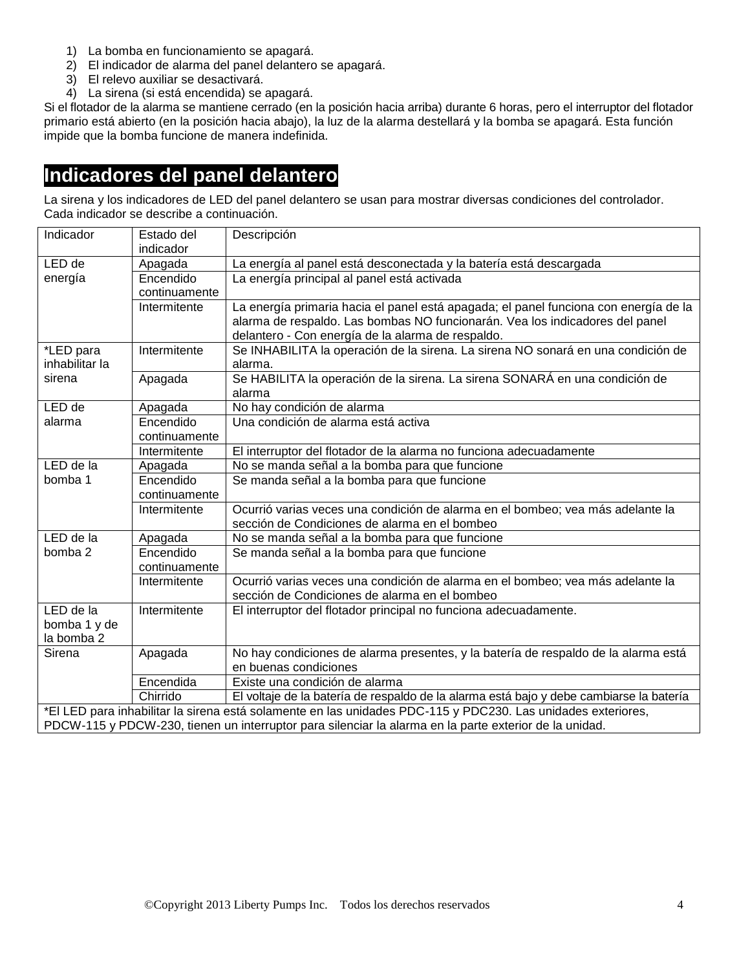- 1) La bomba en funcionamiento se apagará.
- 2) El indicador de alarma del panel delantero se apagará.
- 3) El relevo auxiliar se desactivará.
- 4) La sirena (si está encendida) se apagará.

Si el flotador de la alarma se mantiene cerrado (en la posición hacia arriba) durante 6 horas, pero el interruptor del flotador primario está abierto (en la posición hacia abajo), la luz de la alarma destellará y la bomba se apagará. Esta función impide que la bomba funcione de manera indefinida.

#### **Indicadores del panel delantero**

La sirena y los indicadores de LED del panel delantero se usan para mostrar diversas condiciones del controlador. Cada indicador se describe a continuación.

| Indicador                                                                                                    | Estado del    | Descripción                                                                             |  |
|--------------------------------------------------------------------------------------------------------------|---------------|-----------------------------------------------------------------------------------------|--|
| LED de                                                                                                       | indicador     |                                                                                         |  |
|                                                                                                              | Apagada       | La energía al panel está desconectada y la batería está descargada                      |  |
| energía                                                                                                      | Encendido     | La energía principal al panel está activada                                             |  |
|                                                                                                              | continuamente |                                                                                         |  |
|                                                                                                              | Intermitente  | La energía primaria hacia el panel está apagada; el panel funciona con energía de la    |  |
|                                                                                                              |               | alarma de respaldo. Las bombas NO funcionarán. Vea los indicadores del panel            |  |
|                                                                                                              |               | delantero - Con energía de la alarma de respaldo.                                       |  |
| *LED para                                                                                                    | Intermitente  | Se INHABILITA la operación de la sirena. La sirena NO sonará en una condición de        |  |
| inhabilitar la                                                                                               |               | alarma.                                                                                 |  |
| sirena                                                                                                       | Apagada       | Se HABILITA la operación de la sirena. La sirena SONARÁ en una condición de             |  |
|                                                                                                              |               | alarma                                                                                  |  |
| LED de                                                                                                       | Apagada       | No hay condición de alarma                                                              |  |
| alarma                                                                                                       | Encendido     | Una condición de alarma está activa                                                     |  |
|                                                                                                              | continuamente |                                                                                         |  |
|                                                                                                              | Intermitente  | El interruptor del flotador de la alarma no funciona adecuadamente                      |  |
| LED de la                                                                                                    | Apagada       | No se manda señal a la bomba para que funcione                                          |  |
| bomba 1                                                                                                      | Encendido     | Se manda señal a la bomba para que funcione                                             |  |
|                                                                                                              | continuamente |                                                                                         |  |
|                                                                                                              | Intermitente  | Ocurrió varias veces una condición de alarma en el bombeo; vea más adelante la          |  |
|                                                                                                              |               | sección de Condiciones de alarma en el bombeo                                           |  |
| LED de la                                                                                                    | Apagada       | No se manda señal a la bomba para que funcione                                          |  |
| bomba 2                                                                                                      | Encendido     | Se manda señal a la bomba para que funcione                                             |  |
|                                                                                                              | continuamente |                                                                                         |  |
|                                                                                                              | Intermitente  | Ocurrió varias veces una condición de alarma en el bombeo; vea más adelante la          |  |
|                                                                                                              |               | sección de Condiciones de alarma en el bombeo                                           |  |
| LED de la                                                                                                    | Intermitente  | El interruptor del flotador principal no funciona adecuadamente.                        |  |
| bomba 1 y de                                                                                                 |               |                                                                                         |  |
| la bomba 2                                                                                                   |               |                                                                                         |  |
| Sirena                                                                                                       | Apagada       | No hay condiciones de alarma presentes, y la batería de respaldo de la alarma está      |  |
|                                                                                                              |               | en buenas condiciones                                                                   |  |
|                                                                                                              | Encendida     | Existe una condición de alarma                                                          |  |
|                                                                                                              | Chirrido      | El voltaje de la batería de respaldo de la alarma está bajo y debe cambiarse la batería |  |
| *El LED para inhabilitar la sirena está solamente en las unidades PDC-115 y PDC230. Las unidades exteriores, |               |                                                                                         |  |
| PDCW-115 y PDCW-230, tienen un interruptor para silenciar la alarma en la parte exterior de la unidad.       |               |                                                                                         |  |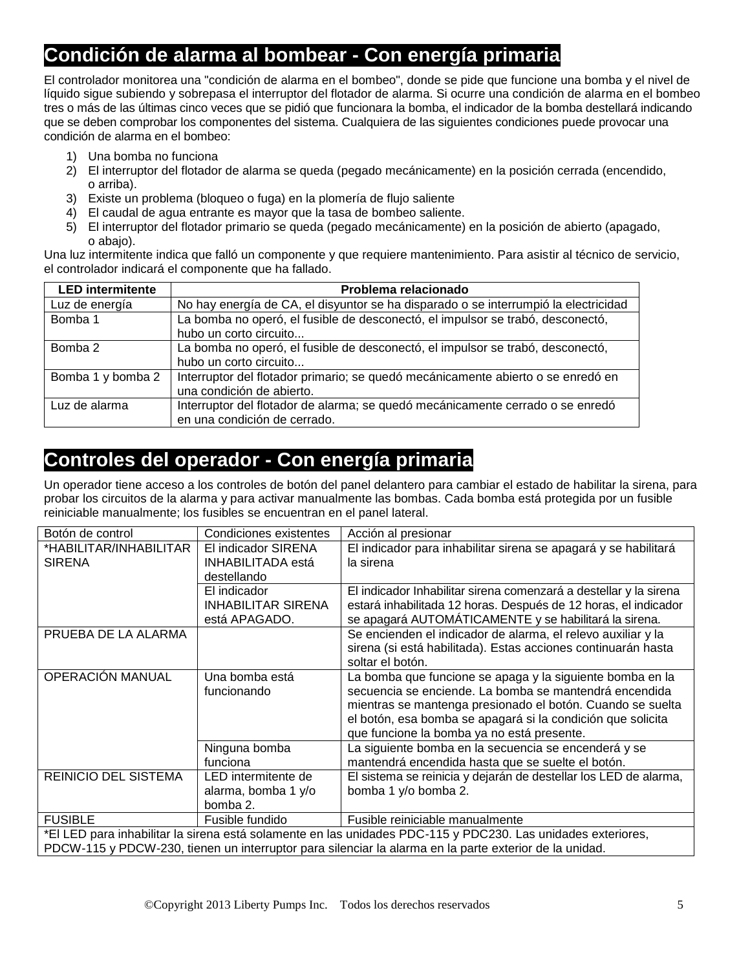#### **Condición de alarma al bombear - Con energía primaria**

El controlador monitorea una "condición de alarma en el bombeo", donde se pide que funcione una bomba y el nivel de líquido sigue subiendo y sobrepasa el interruptor del flotador de alarma. Si ocurre una condición de alarma en el bombeo tres o más de las últimas cinco veces que se pidió que funcionara la bomba, el indicador de la bomba destellará indicando que se deben comprobar los componentes del sistema. Cualquiera de las siguientes condiciones puede provocar una condición de alarma en el bombeo:

- 1) Una bomba no funciona
- 2) El interruptor del flotador de alarma se queda (pegado mecánicamente) en la posición cerrada (encendido, o arriba).
- 3) Existe un problema (bloqueo o fuga) en la plomería de flujo saliente
- 4) El caudal de agua entrante es mayor que la tasa de bombeo saliente.
- 5) El interruptor del flotador primario se queda (pegado mecánicamente) en la posición de abierto (apagado, o abajo).

Una luz intermitente indica que falló un componente y que requiere mantenimiento. Para asistir al técnico de servicio, el controlador indicará el componente que ha fallado.

| <b>LED</b> intermitente | Problema relacionado                                                                |
|-------------------------|-------------------------------------------------------------------------------------|
| Luz de energía          | No hay energía de CA, el disyuntor se ha disparado o se interrumpió la electricidad |
| Bomba 1                 | La bomba no operó, el fusible de desconectó, el impulsor se trabó, desconectó,      |
|                         | hubo un corto circuito                                                              |
| Bomba 2                 | La bomba no operó, el fusible de desconectó, el impulsor se trabó, desconectó,      |
|                         | hubo un corto circuito                                                              |
| Bomba 1 y bomba 2       | Interruptor del flotador primario; se quedó mecánicamente abierto o se enredó en    |
|                         | una condición de abierto.                                                           |
| Luz de alarma           | Interruptor del flotador de alarma; se quedó mecánicamente cerrado o se enredó      |
|                         | en una condición de cerrado.                                                        |

#### **Controles del operador - Con energía primaria**

Un operador tiene acceso a los controles de botón del panel delantero para cambiar el estado de habilitar la sirena, para probar los circuitos de la alarma y para activar manualmente las bombas. Cada bomba está protegida por un fusible reiniciable manualmente; los fusibles se encuentran en el panel lateral.

| Botón de control                                                                                             | Condiciones existentes    | Acción al presionar                                               |  |
|--------------------------------------------------------------------------------------------------------------|---------------------------|-------------------------------------------------------------------|--|
| *HABILITAR/INHABILITAR                                                                                       | El indicador SIRENA       | El indicador para inhabilitar sirena se apagará y se habilitará   |  |
| <b>SIRENA</b>                                                                                                | <b>INHABILITADA</b> está  | la sirena                                                         |  |
|                                                                                                              | destellando               |                                                                   |  |
|                                                                                                              | El indicador              | El indicador Inhabilitar sirena comenzará a destellar y la sirena |  |
|                                                                                                              | <b>INHABILITAR SIRENA</b> | estará inhabilitada 12 horas. Después de 12 horas, el indicador   |  |
|                                                                                                              | está APAGADO.             | se apagará AUTOMÁTICAMENTE y se habilitará la sirena.             |  |
| PRUEBA DE LA ALARMA                                                                                          |                           | Se encienden el indicador de alarma, el relevo auxiliar y la      |  |
|                                                                                                              |                           | sirena (si está habilitada). Estas acciones continuarán hasta     |  |
|                                                                                                              |                           | soltar el botón.                                                  |  |
| OPERACIÓN MANUAL                                                                                             | Una bomba está            | La bomba que funcione se apaga y la siguiente bomba en la         |  |
|                                                                                                              | funcionando               | secuencia se enciende. La bomba se mantendrá encendida            |  |
|                                                                                                              |                           | mientras se mantenga presionado el botón. Cuando se suelta        |  |
|                                                                                                              |                           | el botón, esa bomba se apagará si la condición que solicita       |  |
|                                                                                                              |                           | que funcione la bomba ya no está presente.                        |  |
|                                                                                                              | Ninguna bomba             | La siguiente bomba en la secuencia se encenderá y se              |  |
|                                                                                                              | funciona                  | mantendrá encendida hasta que se suelte el botón.                 |  |
| <b>REINICIO DEL SISTEMA</b>                                                                                  | LED intermitente de       | El sistema se reinicia y dejarán de destellar los LED de alarma,  |  |
|                                                                                                              | alarma, bomba 1 y/o       | bomba 1 y/o bomba 2.                                              |  |
|                                                                                                              | bomba 2.                  |                                                                   |  |
| <b>FUSIBLE</b>                                                                                               | Fusible fundido           | Fusible reiniciable manualmente                                   |  |
| *El LED para inhabilitar la sirena está solamente en las unidades PDC-115 y PDC230. Las unidades exteriores, |                           |                                                                   |  |
| PDCW-115 y PDCW-230, tienen un interruptor para silenciar la alarma en la parte exterior de la unidad.       |                           |                                                                   |  |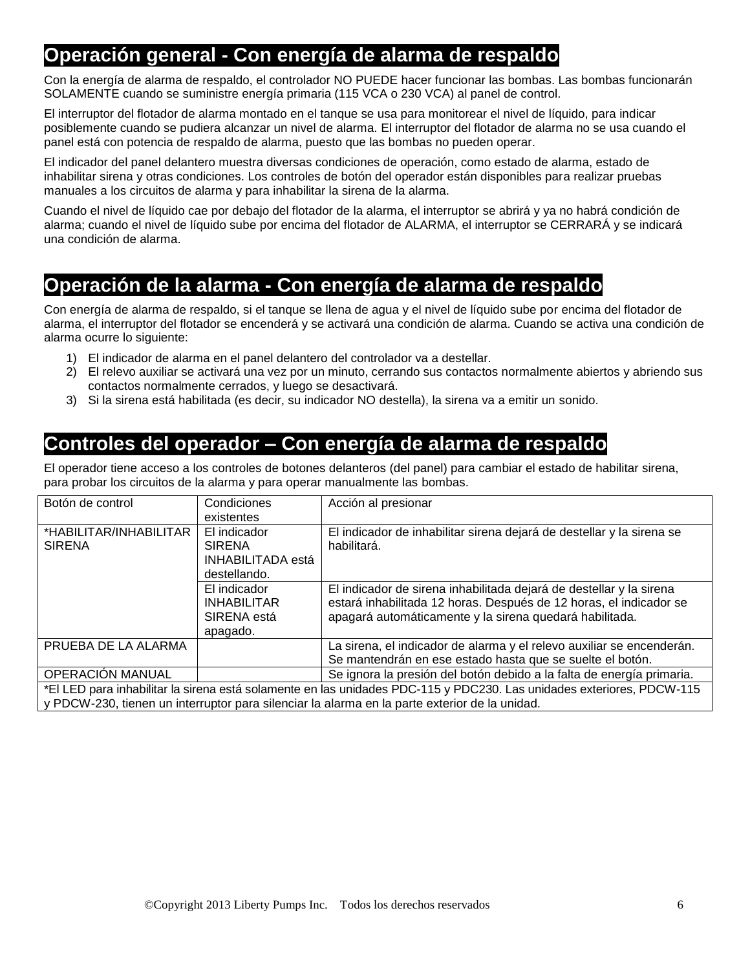#### **Operación general - Con energía de alarma de respaldo**

Con la energía de alarma de respaldo, el controlador NO PUEDE hacer funcionar las bombas. Las bombas funcionarán SOLAMENTE cuando se suministre energía primaria (115 VCA o 230 VCA) al panel de control.

El interruptor del flotador de alarma montado en el tanque se usa para monitorear el nivel de líquido, para indicar posiblemente cuando se pudiera alcanzar un nivel de alarma. El interruptor del flotador de alarma no se usa cuando el panel está con potencia de respaldo de alarma, puesto que las bombas no pueden operar.

El indicador del panel delantero muestra diversas condiciones de operación, como estado de alarma, estado de inhabilitar sirena y otras condiciones. Los controles de botón del operador están disponibles para realizar pruebas manuales a los circuitos de alarma y para inhabilitar la sirena de la alarma.

Cuando el nivel de líquido cae por debajo del flotador de la alarma, el interruptor se abrirá y ya no habrá condición de alarma; cuando el nivel de líquido sube por encima del flotador de ALARMA, el interruptor se CERRARÁ y se indicará una condición de alarma.

#### **Operación de la alarma - Con energía de alarma de respaldo**

Con energía de alarma de respaldo, si el tanque se llena de agua y el nivel de líquido sube por encima del flotador de alarma, el interruptor del flotador se encenderá y se activará una condición de alarma. Cuando se activa una condición de alarma ocurre lo siguiente:

- 1) El indicador de alarma en el panel delantero del controlador va a destellar.
- 2) El relevo auxiliar se activará una vez por un minuto, cerrando sus contactos normalmente abiertos y abriendo sus contactos normalmente cerrados, y luego se desactivará.
- 3) Si la sirena está habilitada (es decir, su indicador NO destella), la sirena va a emitir un sonido.

#### **Controles del operador – Con energía de alarma de respaldo**

El operador tiene acceso a los controles de botones delanteros (del panel) para cambiar el estado de habilitar sirena, para probar los circuitos de la alarma y para operar manualmente las bombas.

| Botón de control                                                                                                                                                                                                       | Condiciones<br>existentes                                                 | Acción al presionar                                                                                                                                                                                  |
|------------------------------------------------------------------------------------------------------------------------------------------------------------------------------------------------------------------------|---------------------------------------------------------------------------|------------------------------------------------------------------------------------------------------------------------------------------------------------------------------------------------------|
| *HABILITAR/INHABILITAR<br><b>SIRENA</b>                                                                                                                                                                                | El indicador<br><b>SIRENA</b><br><b>INHABILITADA</b> está<br>destellando. | El indicador de inhabilitar sirena dejará de destellar y la sirena se<br>habilitará.                                                                                                                 |
|                                                                                                                                                                                                                        | El indicador<br><b>INHABILITAR</b><br>SIRENA está<br>apagado.             | El indicador de sirena inhabilitada dejará de destellar y la sirena<br>estará inhabilitada 12 horas. Después de 12 horas, el indicador se<br>apagará automáticamente y la sirena quedará habilitada. |
| PRUEBA DE LA ALARMA                                                                                                                                                                                                    |                                                                           | La sirena, el indicador de alarma y el relevo auxiliar se encenderán.<br>Se mantendrán en ese estado hasta que se suelte el botón.                                                                   |
| <b>OPERACIÓN MANUAL</b>                                                                                                                                                                                                |                                                                           | Se ignora la presión del botón debido a la falta de energía primaria.                                                                                                                                |
| *El LED para inhabilitar la sirena está solamente en las unidades PDC-115 y PDC230. Las unidades exteriores, PDCW-115<br>y PDCW-230, tienen un interruptor para silenciar la alarma en la parte exterior de la unidad. |                                                                           |                                                                                                                                                                                                      |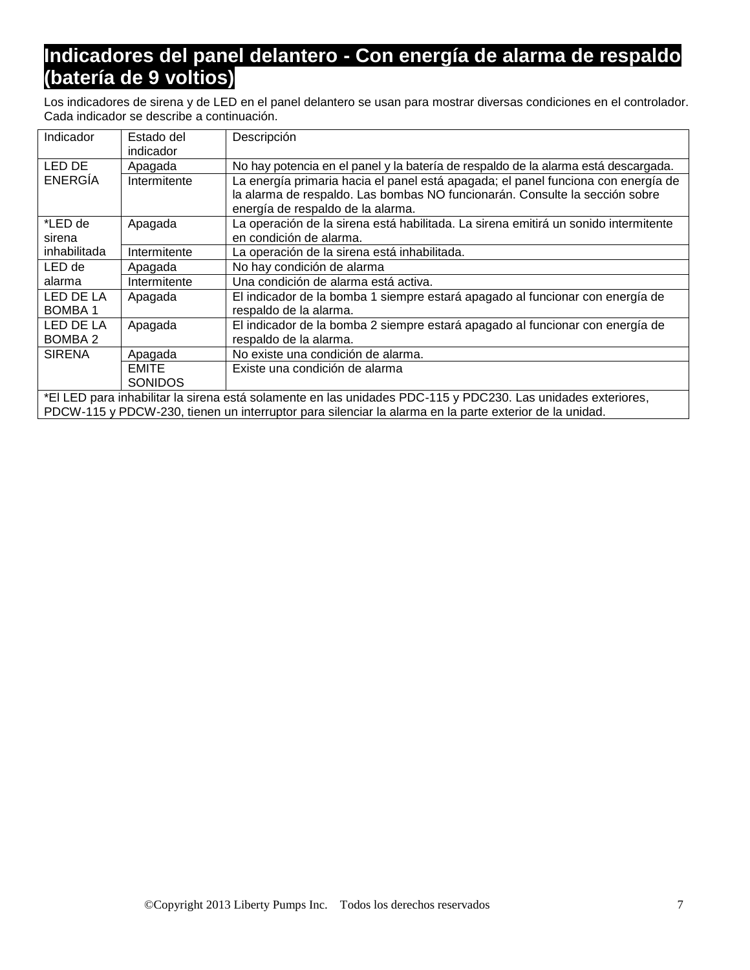#### **Indicadores del panel delantero - Con energía de alarma de respaldo (batería de 9 voltios)**

Los indicadores de sirena y de LED en el panel delantero se usan para mostrar diversas condiciones en el controlador. Cada indicador se describe a continuación.

| Indicador                                                                                              | Estado del     | Descripción                                                                                                  |
|--------------------------------------------------------------------------------------------------------|----------------|--------------------------------------------------------------------------------------------------------------|
|                                                                                                        | indicador      |                                                                                                              |
| LED DE                                                                                                 | Apagada        | No hay potencia en el panel y la batería de respaldo de la alarma está descargada.                           |
| ENERGÍA                                                                                                | Intermitente   | La energía primaria hacia el panel está apagada; el panel funciona con energía de                            |
|                                                                                                        |                | la alarma de respaldo. Las bombas NO funcionarán. Consulte la sección sobre                                  |
|                                                                                                        |                | energía de respaldo de la alarma.                                                                            |
| *LED de                                                                                                | Apagada        | La operación de la sirena está habilitada. La sirena emitirá un sonido intermitente                          |
| sirena                                                                                                 |                | en condición de alarma.                                                                                      |
| inhabilitada                                                                                           | Intermitente   | La operación de la sirena está inhabilitada.                                                                 |
| LED de                                                                                                 | Apagada        | No hay condición de alarma                                                                                   |
| alarma                                                                                                 | Intermitente   | Una condición de alarma está activa.                                                                         |
| LED DE LA                                                                                              | Apagada        | El indicador de la bomba 1 siempre estará apagado al funcionar con energía de                                |
| <b>BOMBA1</b>                                                                                          |                | respaldo de la alarma.                                                                                       |
| LED DE LA                                                                                              | Apagada        | El indicador de la bomba 2 siempre estará apagado al funcionar con energía de                                |
| BOMBA 2                                                                                                |                | respaldo de la alarma.                                                                                       |
| <b>SIRENA</b>                                                                                          | Apagada        | No existe una condición de alarma.                                                                           |
|                                                                                                        | <b>EMITE</b>   | Existe una condición de alarma                                                                               |
|                                                                                                        | <b>SONIDOS</b> |                                                                                                              |
|                                                                                                        |                | *El LED para inhabilitar la sirena está solamente en las unidades PDC-115 y PDC230. Las unidades exteriores, |
| PDCW-115 y PDCW-230, tienen un interruptor para silenciar la alarma en la parte exterior de la unidad. |                |                                                                                                              |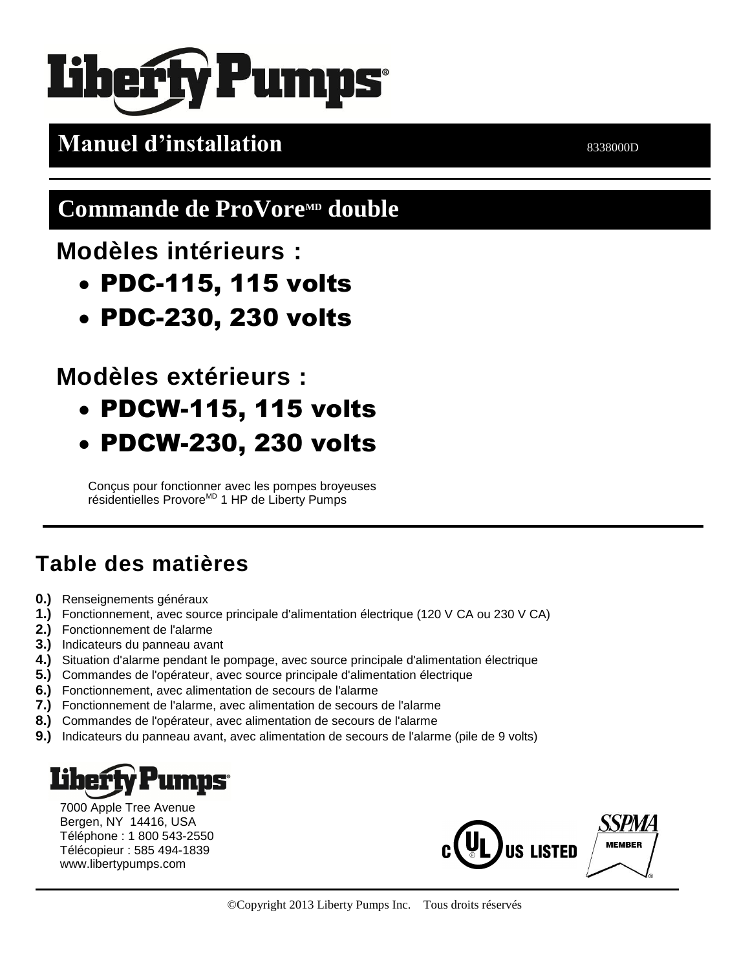# **Pumps**

## **Manuel d'installation** 8338000D

## **Commande de ProVore<sup>MD</sup> double**

### **Modèles intérieurs :**

- PDC-115, 115 volts
- PDC-230, 230 volts

## **Modèles extérieurs :**

- PDCW-115, 115 volts
- PDCW-230, 230 volts

Conçus pour fonctionner avec les pompes broyeuses résidentielles Provore<sup>MD</sup> 1 HP de Liberty Pumps

## **Table des matières**

- **0.)** Renseignements généraux
- **1.)** Fonctionnement, avec source principale d'alimentation électrique (120 V CA ou 230 V CA)
- **2.)** Fonctionnement de l'alarme
- **3.)** Indicateurs du panneau avant
- **4.)** Situation d'alarme pendant le pompage, avec source principale d'alimentation électrique
- **5.)** Commandes de l'opérateur, avec source principale d'alimentation électrique
- **6.)** Fonctionnement, avec alimentation de secours de l'alarme
- **7.)** Fonctionnement de l'alarme, avec alimentation de secours de l'alarme
- **8.)** Commandes de l'opérateur, avec alimentation de secours de l'alarme
- **9.)** Indicateurs du panneau avant, avec alimentation de secours de l'alarme (pile de 9 volts)

## **umps**

7000 Apple Tree Avenue Bergen, NY 14416, USA Téléphone : 1 800 543-2550 Télécopieur : 585 494-1839 www.libertypumps.com

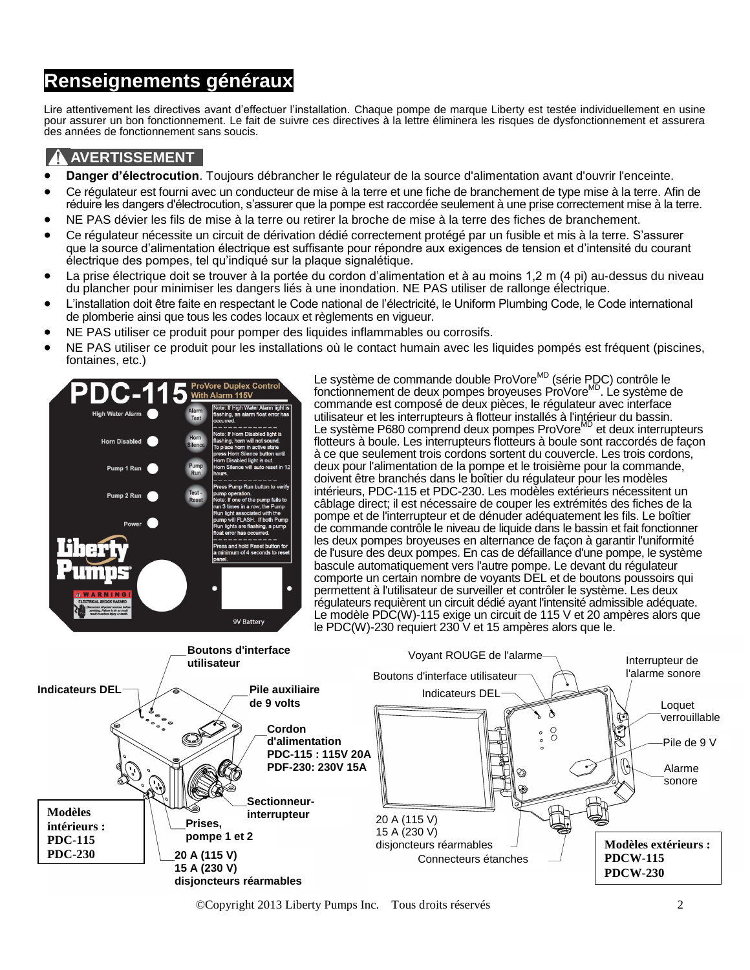#### **Renseignements généraux**

Lire attentivement les directives avant d'effectuer l'installation. Chaque pompe de marque Liberty est testée individuellement en usine pour assurer un bon fonctionnement. Le fait de suivre ces directives à la lettre éliminera les risques de dysfonctionnement et assurera des années de fonctionnement sans soucis.

#### **A AVERTISSEMENT**

- **Danger d'électrocution**. Toujours débrancher le régulateur de la source d'alimentation avant d'ouvrir l'enceinte.
- Ce régulateur est fourni avec un conducteur de mise à la terre et une fiche de branchement de type mise à la terre. Afin de réduire les dangers d'électrocution, s'assurer que la pompe est raccordée seulement à une prise correctement mise à la terre.
- NE PAS dévier les fils de mise à la terre ou retirer la broche de mise à la terre des fiches de branchement.
- Ce régulateur nécessite un circuit de dérivation dédié correctement protégé par un fusible et mis à la terre. S'assurer que la source d'alimentation électrique est suffisante pour répondre aux exigences de tension et d'intensité du courant électrique des pompes, tel qu'indiqué sur la plaque signalétique.
- La prise électrique doit se trouver à la portée du cordon d'alimentation et à au moins 1,2 m (4 pi) au-dessus du niveau du plancher pour minimiser les dangers liés à une inondation. NE PAS utiliser de rallonge électrique.
- L'installation doit être faite en respectant le Code national de l'électricité, le Uniform Plumbing Code, le Code international de plomberie ainsi que tous les codes locaux et règlements en vigueur.
- NE PAS utiliser ce produit pour pomper des liquides inflammables ou corrosifs.
- NE PAS utiliser ce produit pour les installations où le contact humain avec les liquides pompés est fréquent (piscines, fontaines, etc.)



Le système de commande double ProVore<sup>MD</sup> (série PDC) contrôle le<br>fonctionnement de deux pompes broyeuses ProVore<sup>MD</sup>. Le système de commande est composé de deux pièces, le régulateur avec interface utilisateur et les interrupteurs à flotteur installés à l'intérieur du bassin. Le système P680 comprend deux pompes ProVore<sup>MD</sup> et deux interrupteurs flotteurs à boule. Les interrupteurs flotteurs à boule sont raccordés de façon à ce que seulement trois cordons sortent du couvercle. Les trois cordons, deux pour l'alimentation de la pompe et le troisième pour la commande, doivent être branchés dans le boîtier du régulateur pour les modèles intérieurs, PDC-115 et PDC-230. Les modèles extérieurs nécessitent un câblage direct; il est nécessaire de couper les extrémités des fiches de la pompe et de l'interrupteur et de dénuder adéquatement les fils. Le boîtier de commande contrôle le niveau de liquide dans le bassin et fait fonctionner les deux pompes broyeuses en alternance de façon à garantir l'uniformité de l'usure des deux pompes. En cas de défaillance d'une pompe, le système bascule automatiquement vers l'autre pompe. Le devant du régulateur comporte un certain nombre de voyants DEL et de boutons poussoirs qui permettent à l'utilisateur de surveiller et contrôler le système. Les deux régulateurs requièrent un circuit dédié ayant l'intensité admissible adéquate. Le modèle PDC(W)-115 exige un circuit de 115 V et 20 ampères alors que le PDC(W)-230 requiert 230 V et 15 ampères alors que le.



©Copyright 2013 Liberty Pumps Inc. Tous droits réservés 2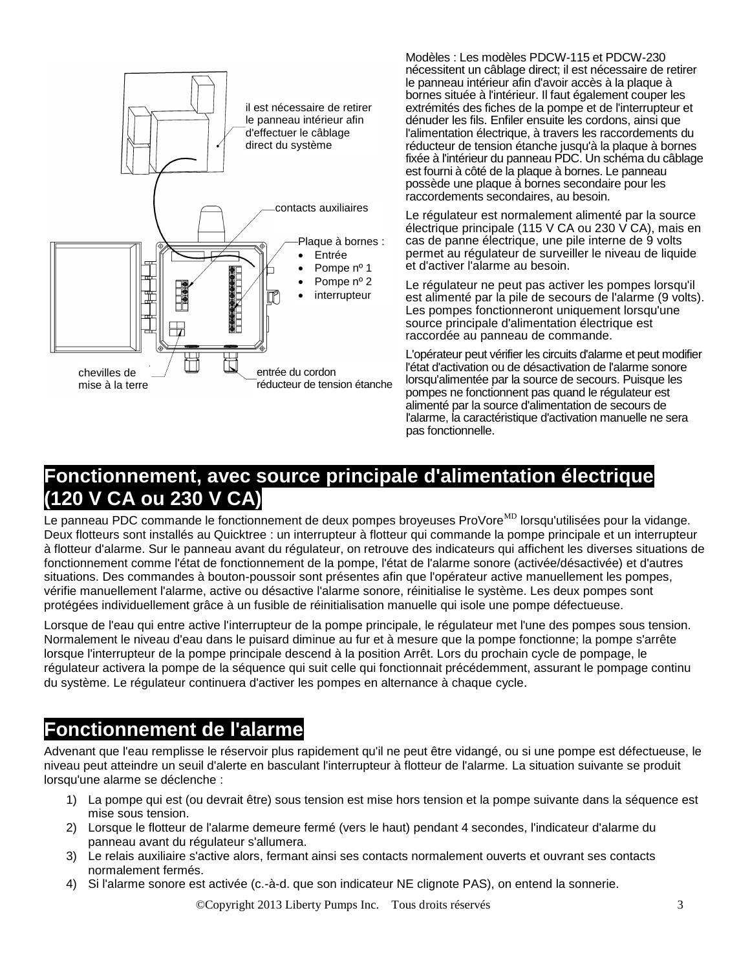

Modèles : Les modèles PDCW-115 et PDCW-230 nécessitent un câblage direct; il est nécessaire de retirer le panneau intérieur afin d'avoir accès à la plaque à bornes située à l'intérieur. Il faut également couper les extrémités des fiches de la pompe et de l'interrupteur et dénuder les fils. Enfiler ensuite les cordons, ainsi que l'alimentation électrique, à travers les raccordements du réducteur de tension étanche jusqu'à la plaque à bornes fixée à l'intérieur du panneau PDC. Un schéma du câblage est fourni à côté de la plaque à bornes. Le panneau possède une plaque à bornes secondaire pour les raccordements secondaires, au besoin.

Le régulateur est normalement alimenté par la source électrique principale (115 V CA ou 230 V CA), mais en cas de panne électrique, une pile interne de 9 volts permet au régulateur de surveiller le niveau de liquide et d'activer l'alarme au besoin.

Le régulateur ne peut pas activer les pompes lorsqu'il est alimenté par la pile de secours de l'alarme (9 volts). Les pompes fonctionneront uniquement lorsqu'une source principale d'alimentation électrique est raccordée au panneau de commande.

L'opérateur peut vérifier les circuits d'alarme et peut modifier l'état d'activation ou de désactivation de l'alarme sonore lorsqu'alimentée par la source de secours. Puisque les pompes ne fonctionnent pas quand le régulateur est alimenté par la source d'alimentation de secours de l'alarme, la caractéristique d'activation manuelle ne sera pas fonctionnelle.

#### **Fonctionnement, avec source principale d'alimentation électrique (120 V CA ou 230 V CA)**

Le panneau PDC commande le fonctionnement de deux pompes broyeuses ProVore<sup>MD</sup> lorsqu'utilisées pour la vidange. Deux flotteurs sont installés au Quicktree : un interrupteur à flotteur qui commande la pompe principale et un interrupteur à flotteur d'alarme. Sur le panneau avant du régulateur, on retrouve des indicateurs qui affichent les diverses situations de fonctionnement comme l'état de fonctionnement de la pompe, l'état de l'alarme sonore (activée/désactivée) et d'autres situations. Des commandes à bouton-poussoir sont présentes afin que l'opérateur active manuellement les pompes, vérifie manuellement l'alarme, active ou désactive l'alarme sonore, réinitialise le système. Les deux pompes sont protégées individuellement grâce à un fusible de réinitialisation manuelle qui isole une pompe défectueuse.

Lorsque de l'eau qui entre active l'interrupteur de la pompe principale, le régulateur met l'une des pompes sous tension. Normalement le niveau d'eau dans le puisard diminue au fur et à mesure que la pompe fonctionne; la pompe s'arrête lorsque l'interrupteur de la pompe principale descend à la position Arrêt. Lors du prochain cycle de pompage, le régulateur activera la pompe de la séquence qui suit celle qui fonctionnait précédemment, assurant le pompage continu du système. Le régulateur continuera d'activer les pompes en alternance à chaque cycle.

#### **Fonctionnement de l'alarme**

Advenant que l'eau remplisse le réservoir plus rapidement qu'il ne peut être vidangé, ou si une pompe est défectueuse, le niveau peut atteindre un seuil d'alerte en basculant l'interrupteur à flotteur de l'alarme. La situation suivante se produit lorsqu'une alarme se déclenche :

- 1) La pompe qui est (ou devrait être) sous tension est mise hors tension et la pompe suivante dans la séquence est mise sous tension.
- 2) Lorsque le flotteur de l'alarme demeure fermé (vers le haut) pendant 4 secondes, l'indicateur d'alarme du panneau avant du régulateur s'allumera.
- 3) Le relais auxiliaire s'active alors, fermant ainsi ses contacts normalement ouverts et ouvrant ses contacts normalement fermés.
- 4) Si l'alarme sonore est activée (c.-à-d. que son indicateur NE clignote PAS), on entend la sonnerie.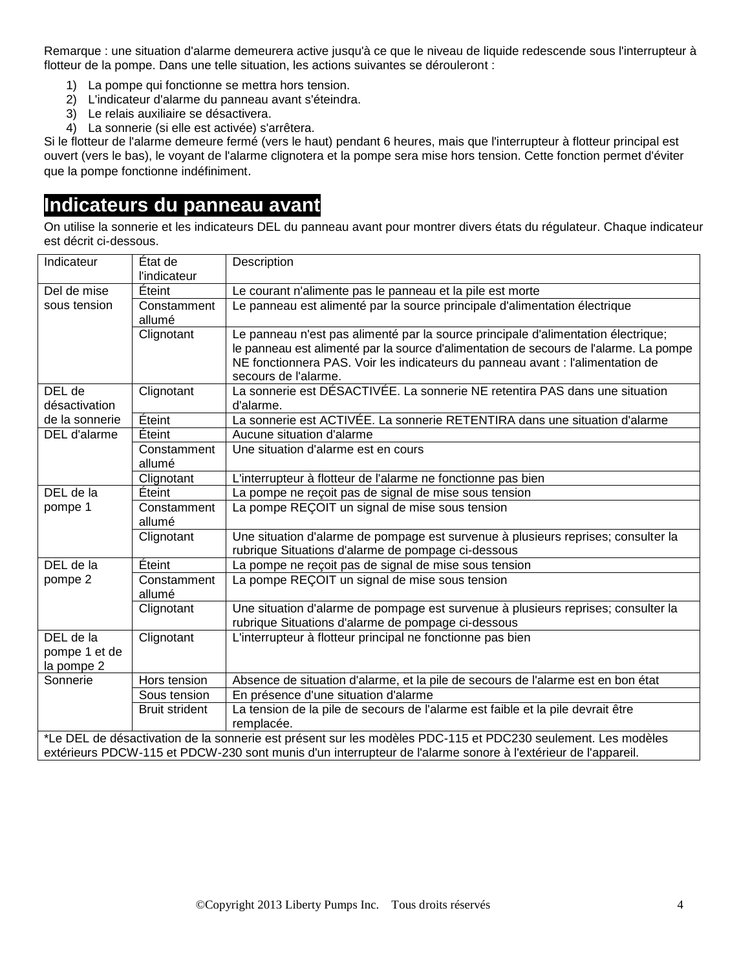Remarque : une situation d'alarme demeurera active jusqu'à ce que le niveau de liquide redescende sous l'interrupteur à flotteur de la pompe. Dans une telle situation, les actions suivantes se dérouleront :

- 1) La pompe qui fonctionne se mettra hors tension.
- 2) L'indicateur d'alarme du panneau avant s'éteindra.
- 3) Le relais auxiliaire se désactivera.
- 4) La sonnerie (si elle est activée) s'arrêtera.

Si le flotteur de l'alarme demeure fermé (vers le haut) pendant 6 heures, mais que l'interrupteur à flotteur principal est ouvert (vers le bas), le voyant de l'alarme clignotera et la pompe sera mise hors tension. Cette fonction permet d'éviter que la pompe fonctionne indéfiniment.

#### **Indicateurs du panneau avant**

On utilise la sonnerie et les indicateurs DEL du panneau avant pour montrer divers états du régulateur. Chaque indicateur est décrit ci-dessous.

| Indicateur                                                                                                   | État de<br>l'indicateur | Description                                                                                                                                                                                     |  |
|--------------------------------------------------------------------------------------------------------------|-------------------------|-------------------------------------------------------------------------------------------------------------------------------------------------------------------------------------------------|--|
| Del de mise                                                                                                  | Éteint                  | Le courant n'alimente pas le panneau et la pile est morte                                                                                                                                       |  |
| sous tension                                                                                                 | Constamment<br>allumé   | Le panneau est alimenté par la source principale d'alimentation électrique                                                                                                                      |  |
|                                                                                                              | Clignotant              | Le panneau n'est pas alimenté par la source principale d'alimentation électrique;                                                                                                               |  |
|                                                                                                              |                         | le panneau est alimenté par la source d'alimentation de secours de l'alarme. La pompe<br>NE fonctionnera PAS. Voir les indicateurs du panneau avant : l'alimentation de<br>secours de l'alarme. |  |
| DEL de                                                                                                       | Clignotant              | La sonnerie est DÉSACTIVÉE. La sonnerie NE retentira PAS dans une situation                                                                                                                     |  |
| désactivation                                                                                                |                         | d'alarme.                                                                                                                                                                                       |  |
| de la sonnerie                                                                                               | Éteint                  | La sonnerie est ACTIVÉE. La sonnerie RETENTIRA dans une situation d'alarme                                                                                                                      |  |
| DEL d'alarme                                                                                                 | Éteint                  | Aucune situation d'alarme                                                                                                                                                                       |  |
|                                                                                                              | Constamment<br>allumé   | Une situation d'alarme est en cours                                                                                                                                                             |  |
|                                                                                                              | Clignotant              | L'interrupteur à flotteur de l'alarme ne fonctionne pas bien                                                                                                                                    |  |
| DEL de la                                                                                                    | Eteint                  | La pompe ne reçoit pas de signal de mise sous tension                                                                                                                                           |  |
| pompe 1                                                                                                      | Constamment<br>allumé   | La pompe REÇOIT un signal de mise sous tension                                                                                                                                                  |  |
|                                                                                                              | Clignotant              | Une situation d'alarme de pompage est survenue à plusieurs reprises; consulter la                                                                                                               |  |
|                                                                                                              |                         | rubrique Situations d'alarme de pompage ci-dessous                                                                                                                                              |  |
| DEL de la                                                                                                    | Éteint                  | La pompe ne reçoit pas de signal de mise sous tension                                                                                                                                           |  |
| pompe 2                                                                                                      | Constamment<br>allumé   | La pompe REÇOIT un signal de mise sous tension                                                                                                                                                  |  |
|                                                                                                              | Clignotant              | Une situation d'alarme de pompage est survenue à plusieurs reprises; consulter la                                                                                                               |  |
|                                                                                                              |                         | rubrique Situations d'alarme de pompage ci-dessous                                                                                                                                              |  |
| DEL de la                                                                                                    | Clignotant              | L'interrupteur à flotteur principal ne fonctionne pas bien                                                                                                                                      |  |
| pompe 1 et de                                                                                                |                         |                                                                                                                                                                                                 |  |
| la pompe 2<br>Sonnerie                                                                                       | Hors tension            | Absence de situation d'alarme, et la pile de secours de l'alarme est en bon état                                                                                                                |  |
|                                                                                                              | Sous tension            | En présence d'une situation d'alarme                                                                                                                                                            |  |
|                                                                                                              | <b>Bruit strident</b>   | La tension de la pile de secours de l'alarme est faible et la pile devrait être                                                                                                                 |  |
|                                                                                                              |                         | remplacée.                                                                                                                                                                                      |  |
| *Le DEL de désactivation de la sonnerie est présent sur les modèles PDC-115 et PDC230 seulement. Les modèles |                         |                                                                                                                                                                                                 |  |
|                                                                                                              |                         | extérieurs PDCW-115 et PDCW-230 sont munis d'un interrupteur de l'alarme sonore à l'extérieur de l'appareil.                                                                                    |  |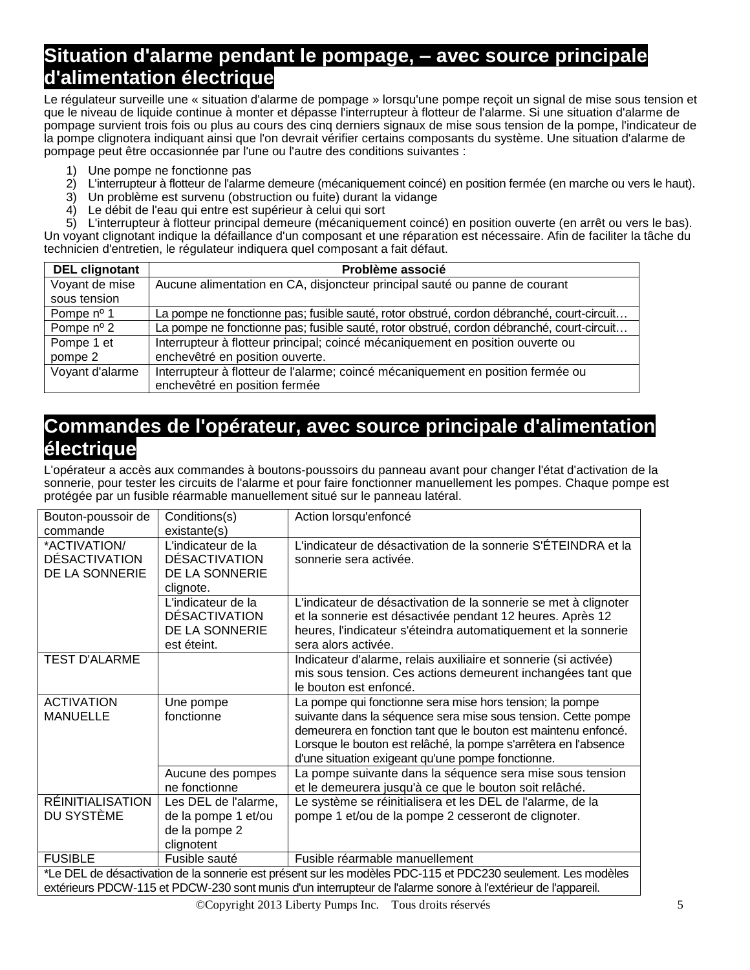#### **Situation d'alarme pendant le pompage, – avec source principale d'alimentation électrique**

Le régulateur surveille une « situation d'alarme de pompage » lorsqu'une pompe reçoit un signal de mise sous tension et que le niveau de liquide continue à monter et dépasse l'interrupteur à flotteur de l'alarme. Si une situation d'alarme de pompage survient trois fois ou plus au cours des cinq derniers signaux de mise sous tension de la pompe, l'indicateur de la pompe clignotera indiquant ainsi que l'on devrait vérifier certains composants du système. Une situation d'alarme de pompage peut être occasionnée par l'une ou l'autre des conditions suivantes :

- 1) Une pompe ne fonctionne pas
- 2) L'interrupteur à flotteur de l'alarme demeure (mécaniquement coincé) en position fermée (en marche ou vers le haut).
- 3) Un problème est survenu (obstruction ou fuite) durant la vidange
- 4) Le débit de l'eau qui entre est supérieur à celui qui sort

5) L'interrupteur à flotteur principal demeure (mécaniquement coincé) en position ouverte (en arrêt ou vers le bas). Un voyant clignotant indique la défaillance d'un composant et une réparation est nécessaire. Afin de faciliter la tâche du technicien d'entretien, le régulateur indiquera quel composant a fait défaut.

| <b>DEL clignotant</b> | Problème associé                                                                          |
|-----------------------|-------------------------------------------------------------------------------------------|
| Voyant de mise        | Aucune alimentation en CA, disjoncteur principal sauté ou panne de courant                |
| sous tension          |                                                                                           |
| Pompe nº 1            | La pompe ne fonctionne pas; fusible sauté, rotor obstrué, cordon débranché, court-circuit |
| Pompe $n^{\circ}$ 2   | La pompe ne fonctionne pas; fusible sauté, rotor obstrué, cordon débranché, court-circuit |
| Pompe 1 et            | Interrupteur à flotteur principal; coincé mécaniquement en position ouverte ou            |
| pompe 2               | enchevêtré en position ouverte.                                                           |
| Voyant d'alarme       | Interrupteur à flotteur de l'alarme; coincé mécaniquement en position fermée ou           |
|                       | enchevêtré en position fermée                                                             |

#### **Commandes de l'opérateur, avec source principale d'alimentation électrique**

L'opérateur a accès aux commandes à boutons-poussoirs du panneau avant pour changer l'état d'activation de la sonnerie, pour tester les circuits de l'alarme et pour faire fonctionner manuellement les pompes. Chaque pompe est protégée par un fusible réarmable manuellement situé sur le panneau latéral.

| Bouton-poussoir de<br>commande                                                                                                                                                                                               | Conditions(s)<br>existante(s)                                               | Action lorsqu'enfoncé                                                                                                                                                                                                                                                                                               |  |  |
|------------------------------------------------------------------------------------------------------------------------------------------------------------------------------------------------------------------------------|-----------------------------------------------------------------------------|---------------------------------------------------------------------------------------------------------------------------------------------------------------------------------------------------------------------------------------------------------------------------------------------------------------------|--|--|
| *ACTIVATION/<br><b>DÉSACTIVATION</b><br>DE LA SONNERIE                                                                                                                                                                       | L'indicateur de la<br><b>DÉSACTIVATION</b><br>DE LA SONNERIE<br>clignote.   | L'indicateur de désactivation de la sonnerie S'ÉTEINDRA et la<br>sonnerie sera activée.                                                                                                                                                                                                                             |  |  |
|                                                                                                                                                                                                                              | L'indicateur de la<br><b>DÉSACTIVATION</b><br>DE LA SONNERIE<br>est éteint. | L'indicateur de désactivation de la sonnerie se met à clignoter<br>et la sonnerie est désactivée pendant 12 heures. Après 12<br>heures, l'indicateur s'éteindra automatiquement et la sonnerie<br>sera alors activée.                                                                                               |  |  |
| <b>TEST D'ALARME</b>                                                                                                                                                                                                         |                                                                             | Indicateur d'alarme, relais auxiliaire et sonnerie (si activée)<br>mis sous tension. Ces actions demeurent inchangées tant que<br>le bouton est enfoncé.                                                                                                                                                            |  |  |
| <b>ACTIVATION</b><br><b>MANUELLE</b>                                                                                                                                                                                         | Une pompe<br>fonctionne                                                     | La pompe qui fonctionne sera mise hors tension; la pompe<br>suivante dans la séquence sera mise sous tension. Cette pompe<br>demeurera en fonction tant que le bouton est maintenu enfoncé.<br>Lorsque le bouton est relâché, la pompe s'arrêtera en l'absence<br>d'une situation exigeant qu'une pompe fonctionne. |  |  |
|                                                                                                                                                                                                                              | Aucune des pompes<br>ne fonctionne                                          | La pompe suivante dans la séquence sera mise sous tension<br>et le demeurera jusqu'à ce que le bouton soit relâché.                                                                                                                                                                                                 |  |  |
| <b>RÉINITIALISATION</b><br>DU SYSTÈME                                                                                                                                                                                        | Les DEL de l'alarme,<br>de la pompe 1 et/ou<br>de la pompe 2<br>clignotent  | Le système se réinitialisera et les DEL de l'alarme, de la<br>pompe 1 et/ou de la pompe 2 cesseront de clignoter.                                                                                                                                                                                                   |  |  |
| <b>FUSIBLE</b>                                                                                                                                                                                                               | Fusible sauté                                                               | Fusible réarmable manuellement                                                                                                                                                                                                                                                                                      |  |  |
| *Le DEL de désactivation de la sonnerie est présent sur les modèles PDC-115 et PDC230 seulement. Les modèles<br>extérieurs PDCW-115 et PDCW-230 sont munis d'un interrupteur de l'alarme sonore à l'extérieur de l'appareil. |                                                                             |                                                                                                                                                                                                                                                                                                                     |  |  |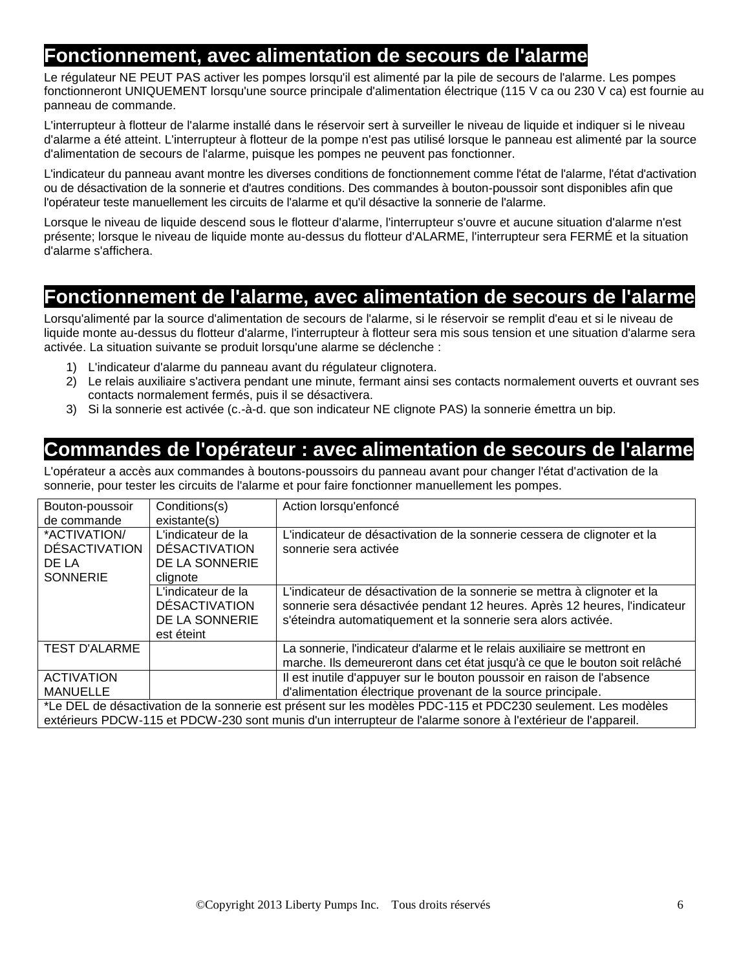#### **Fonctionnement, avec alimentation de secours de l'alarme**

Le régulateur NE PEUT PAS activer les pompes lorsqu'il est alimenté par la pile de secours de l'alarme. Les pompes fonctionneront UNIQUEMENT lorsqu'une source principale d'alimentation électrique (115 V ca ou 230 V ca) est fournie au panneau de commande.

L'interrupteur à flotteur de l'alarme installé dans le réservoir sert à surveiller le niveau de liquide et indiquer si le niveau d'alarme a été atteint. L'interrupteur à flotteur de la pompe n'est pas utilisé lorsque le panneau est alimenté par la source d'alimentation de secours de l'alarme, puisque les pompes ne peuvent pas fonctionner.

L'indicateur du panneau avant montre les diverses conditions de fonctionnement comme l'état de l'alarme, l'état d'activation ou de désactivation de la sonnerie et d'autres conditions. Des commandes à bouton-poussoir sont disponibles afin que l'opérateur teste manuellement les circuits de l'alarme et qu'il désactive la sonnerie de l'alarme.

Lorsque le niveau de liquide descend sous le flotteur d'alarme, l'interrupteur s'ouvre et aucune situation d'alarme n'est présente; lorsque le niveau de liquide monte au-dessus du flotteur d'ALARME, l'interrupteur sera FERMÉ et la situation d'alarme s'affichera.

#### **Fonctionnement de l'alarme, avec alimentation de secours de l'alarme**

Lorsqu'alimenté par la source d'alimentation de secours de l'alarme, si le réservoir se remplit d'eau et si le niveau de liquide monte au-dessus du flotteur d'alarme. l'interrupteur à flotteur sera mis sous tension et une situation d'alarme sera activée. La situation suivante se produit lorsqu'une alarme se déclenche :

- 1) L'indicateur d'alarme du panneau avant du régulateur clignotera.
- 2) Le relais auxiliaire s'activera pendant une minute, fermant ainsi ses contacts normalement ouverts et ouvrant ses contacts normalement fermés, puis il se désactivera.
- 3) Si la sonnerie est activée (c.-à-d. que son indicateur NE clignote PAS) la sonnerie émettra un bip.

#### **Commandes de l'opérateur : avec alimentation de secours de l'alarme**

L'opérateur a accès aux commandes à boutons-poussoirs du panneau avant pour changer l'état d'activation de la sonnerie, pour tester les circuits de l'alarme et pour faire fonctionner manuellement les pompes.

| Bouton-poussoir                                                                                              | Conditions(s)                                                              | Action lorsqu'enfoncé                                                                                                                                                                                                  |  |
|--------------------------------------------------------------------------------------------------------------|----------------------------------------------------------------------------|------------------------------------------------------------------------------------------------------------------------------------------------------------------------------------------------------------------------|--|
| de commande                                                                                                  | existante(s)                                                               |                                                                                                                                                                                                                        |  |
| *ACTIVATION/<br><b>DÉSACTIVATION</b><br>DE LA<br><b>SONNERIE</b>                                             | L'indicateur de la<br><b>DÉSACTIVATION</b><br>DE LA SONNERIE<br>clignote   | L'indicateur de désactivation de la sonnerie cessera de clignoter et la<br>sonnerie sera activée                                                                                                                       |  |
|                                                                                                              | L'indicateur de la<br><b>DESACTIVATION</b><br>DE LA SONNERIE<br>est éteint | L'indicateur de désactivation de la sonnerie se mettra à clignoter et la<br>sonnerie sera désactivée pendant 12 heures. Après 12 heures, l'indicateur<br>s'éteindra automatiquement et la sonnerie sera alors activée. |  |
| <b>TEST D'ALARME</b>                                                                                         |                                                                            | La sonnerie, l'indicateur d'alarme et le relais auxiliaire se mettront en<br>marche. Ils demeureront dans cet état jusqu'à ce que le bouton soit relâché                                                               |  |
| <b>ACTIVATION</b><br><b>MANUELLE</b>                                                                         |                                                                            | Il est inutile d'appuyer sur le bouton poussoir en raison de l'absence<br>d'alimentation électrique provenant de la source principale.                                                                                 |  |
| *Le DEL de désactivation de la sonnerie est présent sur les modèles PDC-115 et PDC230 seulement. Les modèles |                                                                            |                                                                                                                                                                                                                        |  |

extérieurs PDCW-115 et PDCW-230 sont munis d'un interrupteur de l'alarme sonore à l'extérieur de l'appareil.